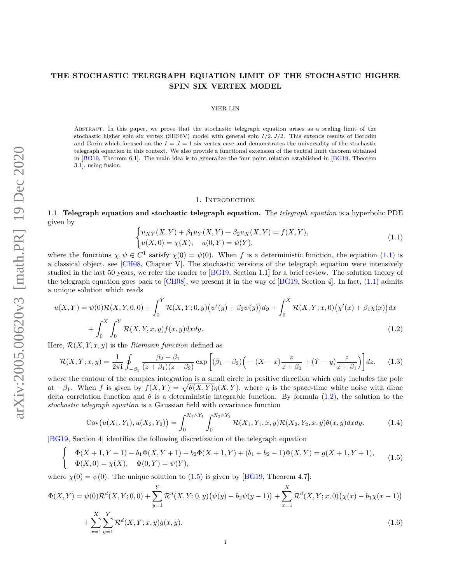# **THE STOCHASTIC TELEGRAPH EQUATION LIMIT OF THE STOCHASTIC HIGHER SPIN SIX VERTEX MODEL**

### YIER LIN

Abstract. In this paper, we prove that the stochastic telegraph equation arises as a scaling limit of the stochastic higher spin six vertex (SHS6V) model with general spin *I/*2*, J/*2. This extends results of Borodin and Gorin which focused on the  $I = J = 1$  six vertex case and demonstrates the universality of the stochastic telegraph equation in this context. We also provide a functional extension of the central limit theorem obtained in [\[BG19,](#page-23-0) Theorem 6.1]. The main idea is to generalize the four point relation established in [\[BG19,](#page-23-0) Theorem 3.1], using fusion.

#### <span id="page-0-3"></span><span id="page-0-1"></span>1. INTRODUCTION

1.1. **Telegraph equation and stochastic telegraph equation.** The *telegraph equation* is a hyperbolic PDE given by

<span id="page-0-0"></span>
$$
\begin{cases} u_{XY}(X,Y) + \beta_1 u_Y(X,Y) + \beta_2 u_X(X,Y) = f(X,Y), \\ u(X,0) = \chi(X), \quad u(0,Y) = \psi(Y), \end{cases}
$$
\n(1.1)

where the functions  $\chi, \psi \in C^1$  satisfy  $\chi(0) = \psi(0)$ . When *f* is a deterministic function, the equation [\(1.1\)](#page-0-0) is a classical object, see [\[CH08,](#page-23-1) Chapter V]. The stochastic versions of the telegraph equation were intensively studied in the last 50 years, we refer the reader to [\[BG19,](#page-23-0) Section 1.1] for a brief review. The solution theory of the telegraph equation goes back to  $\lbrack CH08]$ , we present it in the way of  $\lbrack BGI9, Section 4]$ . In fact, [\(1.1\)](#page-0-0) admits a unique solution which reads

$$
u(X,Y) = \psi(0)\mathcal{R}(X,Y,0,0) + \int_0^Y \mathcal{R}(X,Y;0,y) (\psi'(y) + \beta_2\psi(y)) dy + \int_0^X \mathcal{R}(X,Y;x,0) (\chi'(x) + \beta_1\chi(x)) dx + \int_0^X \int_0^Y \mathcal{R}(X,Y,x,y) f(x,y) dx dy.
$$
 (1.2)

Here,  $\mathcal{R}(X, Y, x, y)$  is the *Riemann function* defined as

<span id="page-0-4"></span>
$$
\mathcal{R}(X,Y;x,y) = \frac{1}{2\pi i} \oint_{-\beta_1} \frac{\beta_2 - \beta_1}{(z + \beta_1)(z + \beta_2)} \exp\left[ (\beta_1 - \beta_2) \Big( - (X - x) \frac{z}{z + \beta_2} + (Y - y) \frac{z}{z + \beta_1} \Big) \right] dz, \quad (1.3)
$$

where the contour of the complex integration is a small circle in positive direction which only includes the pole at  $-\beta_1$ . When f is given by  $f(X,Y) = \sqrt{\theta(X,Y)}\eta(X,Y)$ , where  $\eta$  is the space-time white noise with dirac delta correlation function and  $\theta$  is a deterministic integrable function. By formula [\(1.2\)](#page-0-1), the solution to the *stochastic telegraph equation* is a Gaussian field with covariance function

<span id="page-0-5"></span>
$$
Cov(u(X_1, Y_1), u(X_2, Y_2)) = \int_0^{X_1 \wedge Y_1} \int_0^{X_2 \wedge Y_2} \mathcal{R}(X_1, Y_1, x, y) \mathcal{R}(X_2, Y_2, x, y) \theta(x, y) dx dy.
$$
 (1.4)

[\[BG19,](#page-23-0) Section 4] identifies the following discretization of the telegraph equation

<span id="page-0-2"></span>
$$
\begin{cases}\n\Phi(X+1,Y+1) - b_1 \Phi(X,Y+1) - b_2 \Phi(X+1,Y) + (b_1 + b_2 - 1) \Phi(X,Y) = g(X+1,Y+1), \\
\Phi(X,0) = \chi(X), \quad \Phi(0,Y) = \psi(Y),\n\end{cases}
$$
\n(1.5)

where  $\chi(0) = \psi(0)$ . The unique solution to [\(1.5\)](#page-0-2) is given by [\[BG19,](#page-23-0) Theorem 4.7]:

$$
\Phi(X,Y) = \psi(0)\mathcal{R}^d(X,Y;0,0) + \sum_{y=1}^Y \mathcal{R}^d(X,Y;0,y) (\psi(y) - b_2\psi(y-1)) + \sum_{x=1}^X \mathcal{R}^d(X,Y;x,0) (\chi(x) - b_1\chi(x-1))
$$
  
+ 
$$
\sum_{x=1}^X \sum_{y=1}^Y \mathcal{R}^d(X,Y;x,y) g(x,y).
$$
 (1.6)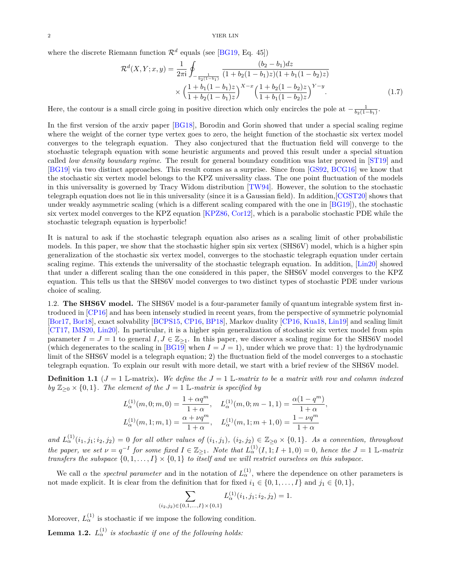where the discrete Riemann function  $\mathcal{R}^d$  equals (see [\[BG19,](#page-23-0) Eq. 45])

<span id="page-1-2"></span>
$$
\mathcal{R}^{d}(X, Y; x, y) = \frac{1}{2\pi i} \oint_{-\frac{1}{b_2(1-b_1)}} \frac{(b_2 - b_1)dz}{(1 + b_2(1 - b_1)z)(1 + b_1(1 - b_2)z)} \times \left(\frac{1 + b_1(1 - b_1)z}{1 + b_2(1 - b_1)z}\right)^{X - x} \left(\frac{1 + b_2(1 - b_2)z}{1 + b_1(1 - b_2)z}\right)^{Y - y}.
$$
\n(1.7)

Here, the contour is a small circle going in positive direction which only encircles the pole at  $-\frac{1}{b_2(1-b_1)}$ .

In the first version of the arxiv paper [\[BG18\]](#page-23-2), Borodin and Gorin showed that under a special scaling regime where the weight of the corner type vertex goes to zero, the height function of the stochastic six vertex model converges to the telegraph equation. They also conjectured that the fluctuation field will converge to the stochastic telegraph equation with some heuristic arguments and proved this result under a special situation called *low density boundary regime*. The result for general boundary condition was later proved in [\[ST19\]](#page-23-3) and [\[BG19\]](#page-23-0) via two distinct approaches. This result comes as a surprise. Since from [\[GS92,](#page-23-4) [BCG16\]](#page-23-5) we know that the stochastic six vertex model belongs to the KPZ universality class. The one point fluctuation of the models in this universality is governed by Tracy Widom distribution [\[TW94\]](#page-23-6). However, the solution to the stochastic telegraph equation does not lie in this universality (since it is a Gaussian field). In addition,[\[CGST20\]](#page-23-7) shows that under weakly asymmetric scaling (which is a different scaling compared with the one in [\[BG19\]](#page-23-0)), the stochastic six vertex model converges to the KPZ equation [\[KPZ86,](#page-23-8) [Cor12\]](#page-23-9), which is a parabolic stochastic PDE while the stochastic telegraph equation is hyperbolic!

It is natural to ask if the stochastic telegraph equation also arises as a scaling limit of other probabilistic models. In this paper, we show that the stochastic higher spin six vertex (SHS6V) model, which is a higher spin generalization of the stochastic six vertex model, converges to the stochastic telegraph equation under certain scaling regime. This extends the universality of the stochastic telegraph equation. In addition, [\[Lin20\]](#page-23-10) showed that under a different scaling than the one considered in this paper, the SHS6V model converges to the KPZ equation. This tells us that the SHS6V model converges to two distinct types of stochastic PDE under various choice of scaling.

1.2. **The SHS6V model.** The SHS6V model is a four-parameter family of quantum integrable system first introduced in [\[CP16\]](#page-23-11) and has been intensely studied in recent years, from the perspective of symmetric polynomial [\[Bor17,](#page-23-12) [Bor18\]](#page-23-13), exact solvability [\[BCPS15,](#page-23-14) [CP16,](#page-23-11) [BP18\]](#page-23-15), Markov duality [\[CP16,](#page-23-11) [Kua18,](#page-23-16) [Lin19\]](#page-23-17) and scaling limit [\[CT17,](#page-23-18) [IMS20,](#page-23-19) [Lin20\]](#page-23-10). In particular, it is a higher spin generalization of stochastic six vertex model from spin parameter  $I = J = 1$  to general  $I, J \in \mathbb{Z}_{\geq 1}$ . In this paper, we discover a scaling regime for the SHS6V model (which degenerates to the scaling in [\[BG19\]](#page-23-0) when  $I = J = 1$ ), under which we prove that: 1) the hydrodynamic limit of the SHS6V model is a telegraph equation; 2) the fluctuation field of the model converges to a stochastic telegraph equation. To explain our result with more detail, we start with a brief review of the SHS6V model.

<span id="page-1-0"></span>**Definition 1.1** ( $J = 1$  L-matrix). We define the  $J = 1$  L-matrix to be a matrix with row and column indexed *by*  $\mathbb{Z}_{\geq 0} \times \{0, 1\}$ *. The element of the*  $J = 1$  L-matrix is specified by

$$
L_{\alpha}^{(1)}(m,0;m,0) = \frac{1 + \alpha q^m}{1 + \alpha}, \quad L_{\alpha}^{(1)}(m,0;m-1,1) = \frac{\alpha (1 - q^m)}{1 + \alpha},
$$
  

$$
L_{\alpha}^{(1)}(m,1;m,1) = \frac{\alpha + \nu q^m}{1 + \alpha}, \quad L_{\alpha}^{(1)}(m,1;m+1,0) = \frac{1 - \nu q^m}{1 + \alpha}
$$

and  $L_{\alpha}^{(1)}(i_1, j_1; i_2, j_2) = 0$  for all other values of  $(i_1, j_1)$ ,  $(i_2, j_2) \in \mathbb{Z}_{\geq 0} \times \{0, 1\}$ . As a convention, throughout *the paper, we set*  $\nu = q^{-I}$  *for some fixed*  $I \in \mathbb{Z}_{\geq 1}$ *. Note that*  $L_{\alpha}^{(1)}(I, 1; I + 1, 0) = 0$ *, hence the*  $J = 1$  L-matrix *transfers the subspace*  $\{0, 1, \ldots, I\} \times \{0, 1\}$  *to itself and we will restrict ourselves on this subspace.* 

We call  $\alpha$  the *spectral parameter* and in the notation of  $L_{\alpha}^{(1)}$ , where the dependence on other parameters is not made explicit. It is clear from the definition that for fixed  $i_1 \in \{0, 1, \ldots, I\}$  and  $j_1 \in \{0, 1\}$ ,

$$
\sum_{(i_2,j_2)\in\{0,1,\ldots,I\}\times\{0,1\}} L^{(1)}_{\alpha}(i_1,j_1;i_2,j_2)=1.
$$

Moreover,  $L_{\alpha}^{(1)}$  is stochastic if we impose the following condition.

<span id="page-1-1"></span>**Lemma 1.2.**  $L_{\alpha}^{(1)}$  *is stochastic if one of the following holds:*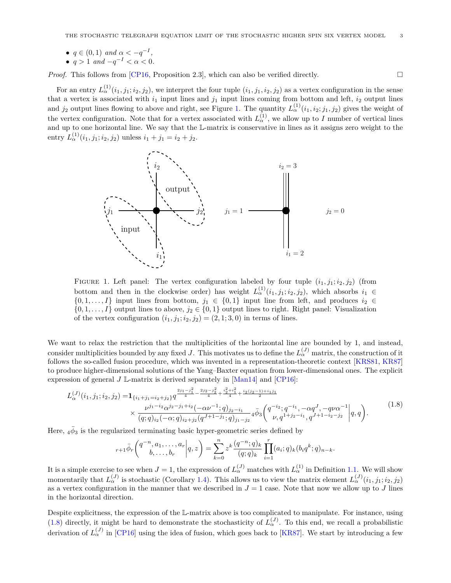•  $q \in (0,1)$  and  $\alpha < -q^{-1}$ ,

$$
\bullet \ \ q > 1 \ \ and \ -q^{-1} < \alpha < 0.
$$

*Proof.* This follows from  $[CP16,$  Proposition 2.3, which can also be verified directly.  $\square$ 

For an entry  $L_{\alpha}^{(1)}(i_1, j_1; i_2, j_2)$ , we interpret the four tuple  $(i_1, j_1, i_2, j_2)$  as a vertex configuration in the sense that a vertex is associated with  $i_1$  input lines and  $j_1$  input lines coming from bottom and left,  $i_2$  output lines and  $j_2$  output lines flowing to above and right, see Figure [1.](#page-2-0) The quantity  $L^{(1)}_{\alpha}(i_1,i_2;j_1,j_2)$  gives the weight of the vertex configuration. Note that for a vertex associated with  $L_{\alpha}^{(1)}$ , we allow up to *I* number of vertical lines and up to one horizontal line. We say that the L-matrix is conservative in lines as it assigns zero weight to the entry  $L_{\alpha}^{(1)}(i_1, j_1; i_2, j_2)$  unless  $i_1 + j_1 = i_2 + j_2$ .



<span id="page-2-0"></span>FIGURE 1. Left panel: The vertex configuration labeled by four tuple  $(i_1, j_1; i_2, j_2)$  (from bottom and then in the clockwise order) has weight  $L_{\alpha}^{(1)}(i_1, j_1; i_2, j_2)$ , which absorbs  $i_1 \in$  $\{0, 1, \ldots, I\}$  input lines from bottom,  $j_1 \in \{0, 1\}$  input line from left, and produces  $i_2 \in$  $\{0, 1, \ldots, I\}$  output lines to above,  $j_2 \in \{0, 1\}$  output lines to right. Right panel: Visualization of the vertex configuration  $(i_1, j_1; i_2, j_2) = (2, 1; 3, 0)$  in terms of lines.

We want to relax the restriction that the multiplicities of the horizontal line are bounded by 1, and instead, consider multiplicities bounded by any fixed *J*. This motivates us to define the  $L_{\alpha}^{(J)}$  matrix, the construction of it follows the so-called fusion procedure, which was invented in a representation-theoretic context [\[KRS81,](#page-23-20) [KR87\]](#page-23-21) to produce higher-dimensional solutions of the Yang–Baxter equation from lower-dimensional ones. The explicit expression of general  $J \mathbb{L}$ -matrix is derived separately in [\[Man14\]](#page-23-22) and [\[CP16\]](#page-23-11):

<span id="page-2-1"></span>
$$
L_{\alpha}^{(J)}(i_1, j_1; i_2, j_2) = \mathbf{1}_{\{i_1 + j_1 = i_2 + j_2\}} q^{\frac{2j_1 - j_1^2}{4} - \frac{2j_2 - j_2^2}{4} + \frac{i_2^2 + i_1^2}{4} + \frac{i_2(j_2 - 1) + i_1 j_1}{2}} \times \frac{\nu^{j_1 - i_2} \alpha^{j_2 - j_1 + i_2}(-\alpha \nu^{-1}; q)_{j_2 - i_1}}{(q; q)_{i_2}(-\alpha; q)_{i_2 + j_2} (q^{J+1-j_1}; q)_{j_1 - j_2}} 4^{\overline{\phi}_3} \begin{pmatrix} q^{-i_2}; q^{-i_1}, -\alpha q^J, -q \nu \alpha^{-1} \\ \nu, q^{1 + j_2 - i_1}, q^{J+1 - i_2 - j_2} \end{pmatrix} q, q \right).
$$
\n
$$
(1.8)
$$

Here,  $_4\bar{\phi}_3$  is the regularized terminating basic hyper-geometric series defined by

$$
{}_{r+1}\bar{\phi}_r\bigg(\begin{matrix}q^{-n},a_1,\ldots,a_r\\b,\ldots,b_r\end{matrix}\bigg|q,z\bigg)=\sum_{k=0}^nz^k\frac{(q^{-n};q)_k}{(q;q)_k}\prod_{i=1}^r(a_i;q)_k(b_iq^k;q)_{n-k}.
$$

It is a simple exercise to see when  $J = 1$ , the expression of  $L_{\alpha}^{(J)}$  matches with  $L_{\alpha}^{(1)}$  in Definition [1.1.](#page-1-0) We will show momentarily that  $L_{\alpha}^{(J)}$  is stochastic (Corollary [1.4\)](#page-3-0). This allows us to view the matrix element  $L_{\alpha}^{(J)}(i_1, j_1; i_2, j_2)$ as a vertex configuration in the manner that we described in  $J = 1$  case. Note that now we allow up to *J* lines in the horizontal direction.

Despite explicitness, the expression of the L-matrix above is too complicated to manipulate. For instance, using [\(1.8\)](#page-2-1) directly, it might be hard to demonstrate the stochasticity of  $L_{\alpha}^{(J)}$ . To this end, we recall a probabilistic derivation of  $L_{\alpha}^{(J)}$  in [\[CP16\]](#page-23-11) using the idea of fusion, which goes back to [\[KR87\]](#page-23-21). We start by introducing a few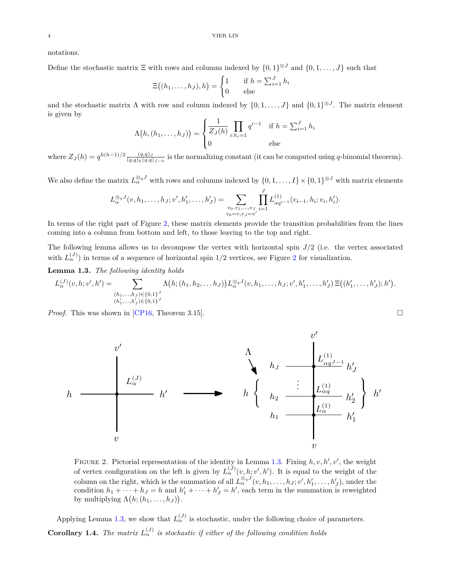notations.

Define the stochastic matrix  $\Xi$  with rows and columns indexed by  $\{0,1\}^{\otimes J}$  and  $\{0,1,\ldots,J\}$  such that

$$
\Xi((h_1,\ldots,h_J),h) = \begin{cases} 1 & \text{if } h = \sum_{i=1}^J h_i \\ 0 & \text{else} \end{cases}
$$

and the stochastic matrix  $\Lambda$  with row and column indexed by  $\{0, 1, \ldots, J\}$  and  $\{0, 1\}^{\otimes J}$ . The matrix element is given by

$$
\Lambda(h, (h_1, ..., h_J)) = \begin{cases} \frac{1}{Z_J(h)} \prod_{i:h_i=1} q^{i-1} & \text{if } h = \sum_{i=1}^J h_i \\ 0 & \text{else} \end{cases}
$$

where  $Z_J(h) = q^{h(h-1)/2} \frac{(q,q)_J}{(q,q)_h(q,q)_{J-h}}$  is the normalizing constant (it can be computed using q-binomial theorem).

We also define the matrix  $L_{\alpha}^{\otimes qJ}$  with rows and columns indexed by  $\{0,1,\ldots,I\} \times \{0,1\}^{\otimes J}$  with matrix elements

$$
L_{\alpha}^{\otimes_q J}(v, h_1, \ldots, h_J; v', h'_1, \ldots, h'_J) = \sum_{\substack{v_0, v_1, \ldots, v_J \\ v_0 = v, v_J = v'}} \prod_{i=1}^J L_{\alpha q^{i-1}}^{(1)}(v_{i-1}, h_i; v_i, h'_i).
$$

In terms of the right part of Figure [2,](#page-3-1) these matrix elements provide the transition probabilities from the lines coming into a column from bottom and left, to those leaving to the top and right.

The following lemma allows us to decompose the vertex with horizontal spin *J/*2 (i.e. the vertex associated with  $L_{\alpha}^{(J)}$  in terms of a sequence of horizontal spin 1/[2](#page-3-1) vertices, see Figure 2 for visualization.

<span id="page-3-2"></span>**Lemma 1.3.** *The following identity holds*

$$
L_{\alpha}^{(J)}(v,h;v',h') = \sum_{\substack{(h_1,\ldots,h_J)\in\{0,1\}^J\\(h'_1,\ldots,h'_J)\in\{0,1\}^J}} \Lambda\big(h;(h_1,h_2,\ldots,h_J)\big) L_{\alpha}^{\otimes qJ}(v,h_1,\ldots,h_J;v',h'_1,\ldots,h'_J) \, \Xi\big((h'_1,\ldots,h'_J);h'\big).
$$

*Proof.* This was shown in [\[CP16,](#page-23-11) Theorem 3.15].



FIGURE 2. Pictorial representation of the identity in Lemma [1.3.](#page-3-2) Fixing  $h, v, h', v'$ , the weight of vertex configuration on the left is given by  $L_{\alpha}^{(J)}(v, h; v', h')$ . It is equal to the weight of the column on the right, which is the summation of all  $L_{\alpha}^{\otimes qJ}(v, h_1, \ldots, h_J; v', h'_1, \ldots, h'_J)$ , under the condition  $h_1 + \cdots + h_J = h$  and  $h'_1 + \cdots + h'_J = h'$ , each term in the summation is reweighted by multiplying  $\Lambda(h; (h_1, \ldots, h_J)).$ 

<span id="page-3-0"></span>Applying Lemma [1.3,](#page-3-2) we show that  $L_{\alpha}^{(J)}$  is stochastic, under the following choice of parameters. **Corollary 1.4.** *The matrix*  $L_{\alpha}^{(J)}$  *is stochastic if either of the following condition holds* 

<span id="page-3-1"></span>
$$
\mathcal{L}_{\mathcal{L}}
$$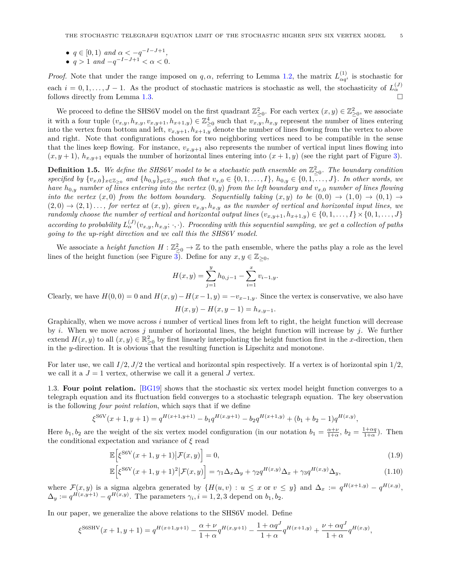- $\bullet$  *q* ∈ [0, 1) *and*  $\alpha < -q^{-I-J+1}$ ,
- $\bullet$  *q* > 1 *and* −*q*<sup>-*I*−*J*+1</sup> < α < 0*.*

*Proof.* Note that under the range imposed on *q,*  $\alpha$ *,* referring to Lemma [1.2,](#page-1-1) the matrix  $L_{\alpha\beta}^{(1)}$  $\alpha q_i^{(1)}$  is stochastic for each  $i = 0, 1, \ldots, J - 1$ . As the product of stochastic matrices is stochastic as well, the stochasticity of  $L_{\alpha}^{(J)}$ follows directly from Lemma [1.3.](#page-3-2)

We proceed to define the SHS6V model on the first quadrant  $\mathbb{Z}_{\geq 0}^2$ . For each vertex  $(x, y) \in \mathbb{Z}_{\geq 0}^2$ , we associate it with a four tuple  $(v_{x,y}, h_{x,y}, v_{x,y+1}, h_{x+1,y}) \in \mathbb{Z}_{\geq 0}^4$  such that  $v_{x,y}$ ,  $h_{x,y}$  represent the number of lines entering into the vertex from bottom and left,  $v_{x,y+1}, h_{x+1,y}$  denote the number of lines flowing from the vertex to above and right. Note that configurations chosen for two neighboring vertices need to be compatible in the sense that the lines keep flowing. For instance,  $v_{x,y+1}$  also represents the number of vertical input lines flowing into  $(x, y + 1)$ ,  $h_{x,y+1}$  equals the number of horizontal lines entering into  $(x + 1, y)$  (see the right part of Figure [3\)](#page-5-0).

<span id="page-4-3"></span>**Definition 1.5.** We define the SHS6V model to be a stochastic path ensemble on  $\mathbb{Z}_{\geq 0}^2$ . The boundary condition specified by  $\{v_{x,0}\}_{x\in\mathbb{Z}_{\geq 0}}$  and  $\{h_{0,y}\}_{y\in\mathbb{Z}_{\geq 0}}$  such that  $v_{x,0}\in\{0,1,\ldots,I\}$ ,  $h_{0,y}\in\{0,1,\ldots,J\}$ . In other words, we *have*  $h_{0,y}$  *number of lines entering into the vertex*  $(0, y)$  *from the left boundary and*  $v_{x,0}$  *number of lines flowing into the vertex*  $(x,0)$  *from the bottom boundary. Sequentially taking*  $(x,y)$  *to be*  $(0,0) \rightarrow (1,0) \rightarrow (0,1) \rightarrow$  $(2,0) \rightarrow (2,1) \ldots$ , for vertex at  $(x,y)$ , given  $v_{x,y}$ ,  $h_{x,y}$  as the number of vertical and horizontal input lines, we *randomly choose the number of vertical and horizontal output lines*  $(v_{x,y+1}, h_{x+1,y}) \in \{0, 1, \ldots, I\} \times \{0, 1, \ldots, J\}$ *according to probability*  $L_{\alpha}^{(J)}(v_{x,y}, h_{x,y}; \cdot, \cdot)$ *. Proceeding with this sequential sampling, we get a collection of paths going to the up-right direction and we call this the SHS6V model.*

We associate a *height function*  $H: \mathbb{Z}_{\geq 0}^2 \to \mathbb{Z}$  to the path ensemble, where the paths play a role as the level lines of the height function (see Figure [3\)](#page-5-0). Define for any  $x, y \in \mathbb{Z}_{\geq 0}$ ,

$$
H(x,y) = \sum_{j=1}^{y} h_{0,j-1} - \sum_{i=1}^{x} v_{i-1,y}.
$$

Clearly, we have  $H(0,0) = 0$  and  $H(x,y) - H(x-1,y) = -v_{x-1,y}$ . Since the vertex is conservative, we also have

<span id="page-4-1"></span><span id="page-4-0"></span>
$$
H(x, y) - H(x, y - 1) = h_{x, y - 1}.
$$

Graphically, when we move across *i* number of vertical lines from left to right, the height function will decrease by *i*. When we move across *j* number of horizontal lines, the height function will increase by *j*. We further extend  $H(x, y)$  to all  $(x, y) \in \mathbb{R}^2_{\geq 0}$  by first linearly interpolating the height function first in the *x*-direction, then in the *y*-direction. It is obvious that the resulting function is Lipschitz and monotone.

For later use, we call *I/*2*, J/*2 the vertical and horizontal spin respectively. If a vertex is of horizontal spin 1*/*2, we call it a  $J = 1$  vertex, otherwise we call it a general  $J$  vertex.

<span id="page-4-2"></span>1.3. **Four point relation.** [\[BG19\]](#page-23-0) shows that the stochastic six vertex model height function converges to a telegraph equation and its fluctuation field converges to a stochastic telegraph equation. The key observation is the following *four point relation*, which says that if we define

$$
\xi^{\text{SGV}}(x+1,y+1) = q^{H(x+1,y+1)} - b_1 q^{H(x,y+1)} - b_2 q^{H(x+1,y)} + (b_1 + b_2 - 1) q^{H(x,y)},
$$

Here  $b_1, b_2$  are the weight of the six vertex model configuration (in our notation  $b_1 = \frac{\alpha + \nu}{1 + \alpha}$ ,  $b_2 = \frac{1 + \alpha q}{1 + \alpha}$ ). Then the conditional expectation and variance of *ξ* read

$$
\mathbb{E}\left[\xi^{\text{SGV}}(x+1,y+1)\big|\mathcal{F}(x,y)\right] = 0,\tag{1.9}
$$

$$
\mathbb{E}\Big[\xi^{\text{SSV}}(x+1,y+1)^2\big|\mathcal{F}(x,y)\Big] = \gamma_1 \Delta_x \Delta_y + \gamma_2 q^{H(x,y)} \Delta_x + \gamma_3 q^{H(x,y)} \Delta_y,\tag{1.10}
$$

where  $\mathcal{F}(x, y)$  is a sigma algebra generated by  $\{H(u, v) : u \leq x \text{ or } v \leq y\}$  and  $\Delta_x := q^{H(x+1,y)} - q^{H(x,y)}$ ,  $\Delta_y := q^{H(x,y+1)} - q^{H(x,y)}$ . The parameters  $\gamma_i, i = 1, 2, 3$  depend on  $b_1, b_2$ .

In our paper, we generalize the above relations to the SHS6V model. Define

$$
\xi^{\text{S6SHV}}(x+1,y+1) = q^{H(x+1,y+1)} - \frac{\alpha + \nu}{1 + \alpha} q^{H(x,y+1)} - \frac{1 + \alpha q^J}{1 + \alpha} q^{H(x+1,y)} + \frac{\nu + \alpha q^J}{1 + \alpha} q^{H(x,y)},
$$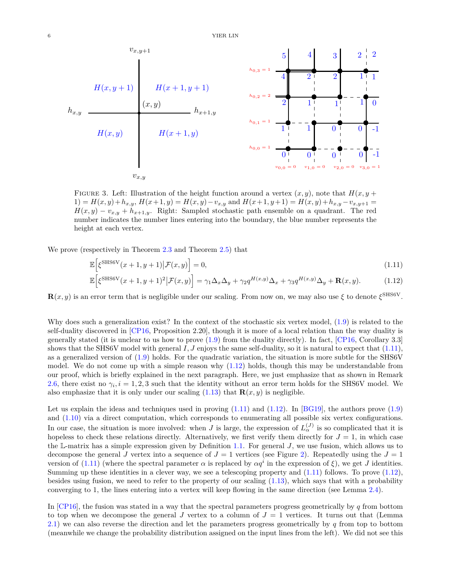

FIGURE 3. Left: Illustration of the height function around a vertex  $(x, y)$ , note that  $H(x, y +$ 1) =  $H(x, y) + h_{x,y}$ ,  $H(x+1, y) = H(x, y) - v_{x,y}$  and  $H(x+1, y+1) = H(x, y) + h_{x,y} - v_{x,y+1} =$  $H(x,y) - v_{x,y} + h_{x+1,y}$ . Right: Sampled stochastic path ensemble on a quadrant. The red number indicates the number lines entering into the boundary, the blue number represents the height at each vertex.

We prove (respectively in Theorem [2.3](#page-9-0) and Theorem [2.5\)](#page-11-0) that

<span id="page-5-0"></span>
$$
\mathbb{E}\left[\xi^{\text{SHSGV}}(x+1,y+1)\big|\mathcal{F}(x,y)\right] = 0,\tag{1.11}
$$

<span id="page-5-2"></span><span id="page-5-1"></span>
$$
\mathbb{E}\Big[\xi^{\text{SHSGV}}(x+1,y+1)^2\big|\mathcal{F}(x,y)\Big] = \gamma_1 \Delta_x \Delta_y + \gamma_2 q^{H(x,y)} \Delta_x + \gamma_3 q^{H(x,y)} \Delta_y + \mathbf{R}(x,y). \tag{1.12}
$$

 $\mathbf{R}(x, y)$  is an error term that is negligible under our scaling. From now on, we may also use  $\xi$  to denote  $\xi^{\text{SHS6V}}$ .

Why does such a generalization exist? In the context of the stochastic six vertex model, [\(1.9\)](#page-4-0) is related to the self-duality discovered in [\[CP16,](#page-23-11) Proposition 2.20], though it is more of a local relation than the way duality is generally stated (it is unclear to us how to prove  $(1.9)$  from the duality directly). In fact, [\[CP16,](#page-23-11) Corollary 3.3] shows that the SHS6V model with general *I, J* enjoys the same self-duality, so it is natural to expect that [\(1.11\)](#page-5-1), as a generalized version of [\(1.9\)](#page-4-0) holds. For the quadratic variation, the situation is more subtle for the SHS6V model. We do not come up with a simple reason why [\(1.12\)](#page-5-2) holds, though this may be understandable from our proof, which is briefly explained in the next paragraph. Here, we just emphasize that as shown in Remark [2.6,](#page-14-0) there exist no  $\gamma_i$ ,  $i = 1, 2, 3$  such that the identity without an error term holds for the SHS6V model. We also emphasize that it is only under our scaling  $(1.13)$  that  $\mathbf{R}(x, y)$  is negligible.

Let us explain the ideas and techniques used in proving  $(1.11)$  and  $(1.12)$ . In [\[BG19\]](#page-23-0), the authors prove  $(1.9)$ and [\(1.10\)](#page-4-1) via a direct computation, which corresponds to enumerating all possible six vertex configurations. In our case, the situation is more involved: when *J* is large, the expression of  $L_{\alpha}^{(J)}$  is so complicated that it is hopeless to check these relations directly. Alternatively, we first verify them directly for  $J = 1$ , in which case the L-matrix has a simple expression given by Definition [1.1.](#page-1-0) For general *J*, we use fusion, which allows us to decompose the general *J* vertex into a sequence of  $J = 1$  vertices (see Figure [2\)](#page-3-1). Repeatedly using the  $J = 1$ version of [\(1.11\)](#page-5-1) (where the spectral parameter  $\alpha$  is replaced by  $\alpha q^i$  in the expression of  $\xi$ ), we get *J* identities. Summing up these identities in a clever way, we see a telescoping property and [\(1.11\)](#page-5-1) follows. To prove [\(1.12\)](#page-5-2), besides using fusion, we need to refer to the property of our scaling [\(1.13\)](#page-6-0), which says that with a probability converging to 1, the lines entering into a vertex will keep flowing in the same direction (see Lemma [2.4\)](#page-11-1).

In [\[CP16\]](#page-23-11), the fusion was stated in a way that the spectral parameters progress geometrically by *q* from bottom to top when we decompose the general *J* vertex to a column of  $J = 1$  vertices. It turns out that (Lemma [2.1\)](#page-8-0) we can also reverse the direction and let the parameters progress geometrically by *q* from top to bottom (meanwhile we change the probability distribution assigned on the input lines from the left). We did not see this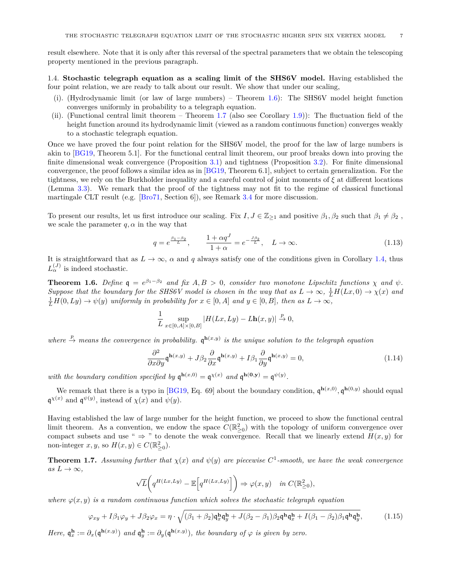result elsewhere. Note that it is only after this reversal of the spectral parameters that we obtain the telescoping property mentioned in the previous paragraph.

1.4. **Stochastic telegraph equation as a scaling limit of the SHS6V model.** Having established the four point relation, we are ready to talk about our result. We show that under our scaling,

- (i). (Hydrodynamic limit (or law of large numbers) Theorem [1.6\)](#page-6-1): The SHS6V model height function converges uniformly in probability to a telegraph equation.
- (ii). (Functional central limit theorem Theorem [1.7](#page-6-2) (also see Corollary [1.9\)](#page-7-0)): The fluctuation field of the height function around its hydrodynamic limit (viewed as a random continuous function) converges weakly to a stochastic telegraph equation.

Once we have proved the four point relation for the SHS6V model, the proof for the law of large numbers is akin to [\[BG19,](#page-23-0) Theorem 5.1]. For the functional central limit theorem, our proof breaks down into proving the finite dimensional weak convergence (Proposition [3.1\)](#page-16-0) and tightness (Proposition [3.2\)](#page-16-1). For finite dimensional convergence, the proof follows a similar idea as in [\[BG19,](#page-23-0) Theorem 6.1], subject to certain generalization. For the tightness, we rely on the Burkholder inequality and a careful control of joint moments of *ξ* at different locations (Lemma [3.3\)](#page-20-0). We remark that the proof of the tightness may not fit to the regime of classical functional martingale CLT result (e.g. [\[Bro71,](#page-23-23) Section 6]), see Remark [3.4](#page-22-0) for more discussion.

To present our results, let us first introduce our scaling. Fix  $I, J \in \mathbb{Z}_{\geq 1}$  and positive  $\beta_1, \beta_2$  such that  $\beta_1 \neq \beta_2$ , we scale the parameter  $q, \alpha$  in the way that

<span id="page-6-0"></span>
$$
q = e^{\frac{\beta_1 - \beta_2}{L}}, \qquad \frac{1 + \alpha q^J}{1 + \alpha} = e^{-\frac{J\beta_2}{L}}, \quad L \to \infty.
$$
 (1.13)

It is straightforward that as  $L \to \infty$ ,  $\alpha$  and  $q$  always satisfy one of the conditions given in Corollary [1.4,](#page-3-0) thus  $L_{\alpha}^{(J)}$  is indeed stochastic.

<span id="page-6-1"></span>**Theorem 1.6.** Define  $q = e^{\beta_1 - \beta_2}$  and fix  $A, B > 0$ , consider two monotone Lipschitz functions  $\chi$  and  $\psi$ . *Suppose that the boundary for the SHS6V model is chosen in the way that as*  $L \to \infty$ ,  $\frac{1}{L}H(Lx, 0) \to \chi(x)$  and  $\frac{1}{L}H(0, Ly) \to \psi(y)$  *uniformly in probability for*  $x \in [0, A]$  *and*  $y \in [0, B]$ *, then as*  $L \to \infty$ *,* 

$$
\frac{1}{L}\sup_{x\in[0,A]\times[0,B]}|H(Lx,Ly)-L\mathbf{h}(x,y)|\xrightarrow{p}0,
$$

where  $\stackrel{p}{\to}$  *means the convergence in probability.*  $\mathfrak{q}^{\mathbf{h}(x,y)}$  *is the unique solution to the telegraph equation* 

<span id="page-6-4"></span>
$$
\frac{\partial^2}{\partial x \partial y} \mathfrak{q}^{\mathbf{h}(x,y)} + J\beta_2 \frac{\partial}{\partial x} \mathfrak{q}^{\mathbf{h}(x,y)} + I\beta_1 \frac{\partial}{\partial y} \mathfrak{q}^{\mathbf{h}(x,y)} = 0,
$$
\n(1.14)

*with the boundary condition specified by*  $\mathfrak{q}^{\mathbf{h}(x,0)} = \mathfrak{q}^{\chi(x)}$  *and*  $\mathfrak{q}^{\mathbf{h}(\mathbf{0},\mathbf{y})} = \mathfrak{q}^{\psi(y)}$ *.* 

We remark that there is a typo in [\[BG19,](#page-23-0) Eq. 69] about the boundary condition,  $\mathfrak{q}^{\mathbf{h}(x,0)}$ ,  $\mathfrak{q}^{\mathbf{h}(0,y)}$  should equal  $\mathfrak{q}^{\chi(x)}$  and  $\mathfrak{q}^{\psi(y)}$ , instead of  $\chi(x)$  and  $\psi(y)$ .

Having established the law of large number for the height function, we proceed to show the functional central limit theorem. As a convention, we endow the space  $C(\mathbb{R}^2_{\geq 0})$  with the topology of uniform convergence over compact subsets and use "  $\Rightarrow$  " to denote the weak convergence. Recall that we linearly extend  $H(x, y)$  for non-integer  $x, y$ , so  $H(x, y) \in C(\mathbb{R}^2_{\geq 0})$ .

<span id="page-6-2"></span>**Theorem 1.7.** Assuming further that  $\chi(x)$  and  $\psi(y)$  are piecewise  $C^1$ -smooth, we have the weak convergence  $as L \rightarrow \infty$ ,

$$
\sqrt{L}\bigg(q^{H(Lx,Ly)} - \mathbb{E}\bigg[q^{H(Lx,Ly)}\bigg]\bigg) \Rightarrow \varphi(x,y) \quad \text{in } C(\mathbb{R}^2_{\geq 0}),
$$

*where*  $\varphi(x, y)$  *is a random continuous function which solves the stochastic telegraph equation* 

<span id="page-6-3"></span>
$$
\varphi_{xy} + I\beta_1 \varphi_y + J\beta_2 \varphi_x = \eta \cdot \sqrt{(\beta_1 + \beta_2) \mathfrak{q}_x^{\mathbf{h}} \mathfrak{q}_y^{\mathbf{h}} + J(\beta_2 - \beta_1) \beta_2 \mathfrak{q}^{\mathbf{h}} \mathfrak{q}_x^{\mathbf{h}} + I(\beta_1 - \beta_2) \beta_1 \mathfrak{q}^{\mathbf{h}} \mathfrak{q}_y^{\mathbf{h}}},\tag{1.15}
$$

*Here,*  $\mathfrak{q}_x^{\mathbf{h}} := \partial_x(\mathfrak{q}^{\mathbf{h}(x,y)})$  *and*  $\mathfrak{q}_y^{\mathbf{h}} := \partial_y(\mathfrak{q}^{\mathbf{h}(x,y)})$ *, the boundary of*  $\varphi$  *is given by zero.*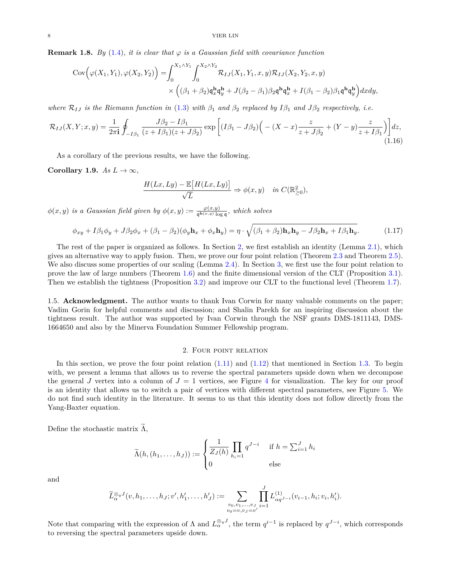<span id="page-7-2"></span>**Remark 1.8.** *By* [\(1.4\)](#page-0-3)*, it is clear that*  $\varphi$  *is a Gaussian field with covariance function* 

$$
Cov\left(\varphi(X_1, Y_1), \varphi(X_2, Y_2)\right) = \int_0^{X_1 \wedge Y_1} \int_0^{X_2 \wedge Y_2} \mathcal{R}_{IJ}(X_1, Y_1, x, y) \mathcal{R}_{IJ}(X_2, Y_2, x, y) \times \left( (\beta_1 + \beta_2) \mathfrak{q}_x^{\mathbf{h}} \mathfrak{q}_y^{\mathbf{h}} + J(\beta_2 - \beta_1) \beta_2 \mathfrak{q}^{\mathbf{h}} \mathfrak{q}_x^{\mathbf{h}} + I(\beta_1 - \beta_2) \beta_1 \mathfrak{q}^{\mathbf{h}} \mathfrak{q}_y^{\mathbf{h}} \right) dx dy,
$$

*where*  $\mathcal{R}_{IJ}$  *is the Riemann function in* [\(1.3\)](#page-0-4) *with*  $\beta_1$  *and*  $\beta_2$  *replaced by*  $I\beta_1$  *and*  $J\beta_2$  *respectively, i.e.* 

$$
\mathcal{R}_{IJ}(X,Y;x,y) = \frac{1}{2\pi i} \oint_{-I\beta_1} \frac{J\beta_2 - I\beta_1}{(z + I\beta_1)(z + J\beta_2)} \exp\left[ (I\beta_1 - J\beta_2) \left( -(X - x) \frac{z}{z + J\beta_2} + (Y - y) \frac{z}{z + I\beta_1} \right) \right] dz,
$$
\n(1.16)

As a corollary of the previous results, we have the following.

<span id="page-7-0"></span>**Corollary 1.9.**  $As L \to \infty$ ,

$$
\frac{H(Lx, Ly) - \mathbb{E}[H(Lx, Ly)]}{\sqrt{L}} \Rightarrow \phi(x, y) \quad in \ C(\mathbb{R}^2_{\geq 0}),
$$

 $\phi(x, y)$  *is a Gaussian field given by*  $\phi(x, y) := \frac{\varphi(x, y)}{\mathfrak{q}^{\mathbf{h}(x, y)} \log \mathfrak{q}}$ *, which solves* 

<span id="page-7-3"></span>
$$
\phi_{xy} + I\beta_1 \phi_y + J\beta_2 \phi_x + (\beta_1 - \beta_2)(\phi_y \mathbf{h}_x + \phi_x \mathbf{h}_y) = \eta \cdot \sqrt{(\beta_1 + \beta_2) \mathbf{h}_x \mathbf{h}_y - J\beta_2 \mathbf{h}_x + I\beta_1 \mathbf{h}_y}.
$$
(1.17)

The rest of the paper is organized as follows. In Section [2,](#page-7-1) we first establish an identity (Lemma [2.1\)](#page-8-0), which gives an alternative way to apply fusion. Then, we prove our four point relation (Theorem [2.3](#page-9-0) and Theorem [2.5\)](#page-11-0). We also discuss some properties of our scaling (Lemma [2.4\)](#page-11-1). In Section [3,](#page-15-0) we first use the four point relation to prove the law of large numbers (Theorem [1.6\)](#page-6-1) and the finite dimensional version of the CLT (Proposition [3.1\)](#page-16-0). Then we establish the tightness (Proposition [3.2\)](#page-16-1) and improve our CLT to the functional level (Theorem [1.7\)](#page-6-2).

1.5. **Acknowledgment.** The author wants to thank Ivan Corwin for many valuable comments on the paper; Vadim Gorin for helpful comments and discussion; and Shalin Parekh for an inspiring discussion about the tightness result. The author was supported by Ivan Corwin through the NSF grants DMS-1811143, DMS-1664650 and also by the Minerva Foundation Summer Fellowship program.

#### 2. Four point relation

<span id="page-7-1"></span>In this section, we prove the four point relation  $(1.11)$  and  $(1.12)$  that mentioned in Section [1.3.](#page-4-2) To begin with, we present a lemma that allows us to reverse the spectral parameters upside down when we decompose the general *J* vertex into a column of  $J = 1$  vertices, see Figure [4](#page-8-1) for visualization. The key for our proof is an identity that allows us to switch a pair of vertices with different spectral parameters, see Figure [5.](#page-8-2) We do not find such identity in the literature. It seems to us that this identity does not follow directly from the Yang-Baxter equation.

Define the stochastic matrix  $\Lambda$ ,

$$
\widetilde{\Lambda}(h,(h_1,\ldots,h_J)) := \begin{cases}\frac{1}{Z_J(h)} \prod_{h_i=1} q^{J-i} & \text{if } h = \sum_{i=1}^J h_i\\0 & \text{else}\end{cases}
$$

and

$$
\widetilde{L}_{\alpha}^{\otimes_q J}(v, h_1, \ldots, h_J; v', h'_1, \ldots, h'_J) := \sum_{\substack{v_0, v_1, \ldots, v_J \\ v_0 = v, v_J = v'}} \prod_{i=1}^J L_{\alpha q^{J-i}}^{(1)}(v_{i-1}, h_i; v_i, h'_i).
$$

Note that comparing with the expression of  $\Lambda$  and  $L_{\alpha}^{\otimes qJ}$ , the term  $q^{i-1}$  is replaced by  $q^{J-i}$ , which corresponds to reversing the spectral parameters upside down.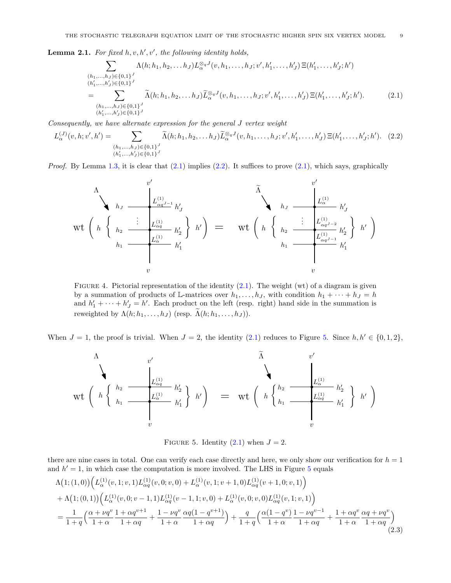<span id="page-8-0"></span>**Lemma 2.1.** For fixed  $h, v, h', v'$ , the following identity holds,

<span id="page-8-4"></span><span id="page-8-3"></span>
$$
\sum_{\substack{(h_1,\ldots,h_J)\in\{0,1\}^J\\(h'_1,\ldots,h'_J)\in\{0,1\}^J\\(h'_1,\ldots,h'_J)\in\{0,1\}^J}} \Lambda(h;h_1,h_2,\ldots h_J) L_{\alpha}^{\otimes_q J}(v,h_1,\ldots,h_J;v',h'_1,\ldots,h'_J) \Xi(h'_1,\ldots,h'_J;h')
$$
\n
$$
= \sum_{\substack{(h_1,\ldots,h_J)\in\{0,1\}^J\\(h'_1,\ldots,h'_J)\in\{0,1\}^J}} \widetilde{\Lambda}(h;h_1,h_2,\ldots h_J) \widetilde{L}_{\alpha}^{\otimes_q J}(v,h_1,\ldots,h_J;v',h'_1,\ldots,h'_J) \Xi(h'_1,\ldots,h'_J;h'). \tag{2.1}
$$

*Consequently, we have alternate expression for the general J vertex weight*

$$
L_{\alpha}^{(J)}(v, h; v', h') = \sum_{\substack{(h_1, \ldots, h_J) \in \{0, 1\}^J \\ (h'_1, \ldots, h'_J) \in \{0, 1\}^J}} \widetilde{\Lambda}(h; h_1, h_2, \ldots h_J) \widetilde{L}_{\alpha}^{\otimes qJ}(v, h_1, \ldots, h_J; v', h'_1, \ldots, h'_J) \Xi(h'_1, \ldots, h'_J; h'). \quad (2.2)
$$

*Proof.* By Lemma [1.3,](#page-3-2) it is clear that  $(2.1)$  implies  $(2.2)$ . It suffices to prove  $(2.1)$ , which says, graphically

$$
\mathsf{wt}\left(h\left\{\left|\frac{L^{(1)}_{\alpha q^{J-1}}}{h_1}\frac{h'_J}{h'_1}\right|\right\}h'_1\right) = \mathsf{wt}\left(h\left\{\left|\frac{L^{(1)}_{\alpha q^{J-1}}}{h_1}\frac{h'_2}{h'_1}\right|\right\}h'_1\right) = \mathsf{wt}\left(h\left\{\left|\frac{L^{(1)}_{\alpha q^{J-2}}}{h_1}\frac{L^{(1)}_{\alpha q^{J-2}}}{h'_1}\frac{h'_2}{h'_1}\right|\right\}h'_1\right)
$$

FIGURE 4. Pictorial representation of the identity  $(2.1)$ . The weight (wt) of a diagram is given by a summation of products of L-matrices over  $h_1, \ldots, h_J$ , with condition  $h_1 + \cdots + h_J = h$ and  $h'_1 + \cdots + h'_J = h'$ . Each product on the left (resp. right) hand side in the summation is reweighted by  $\Lambda(h; h_1, \ldots, h_J)$  (resp.  $\Lambda(h; h_1, \ldots, h_J)$ ).

When  $J = 1$ , the proof is trivial. When  $J = 2$ , the identity [\(2.1\)](#page-8-3) reduces to Figure [5.](#page-8-2) Since  $h, h' \in \{0, 1, 2\}$ ,

$$
\mathrm{wt}\left(\begin{array}{c} h_2 \\ h_2 \\ \vdots \\ h_n \end{array} \begin{array}{c} v' \\ \hline \begin{pmatrix} L_{\alpha q}^{(1)} \\ L_{\alpha q}^{(1)} \end{pmatrix} & h'_2 \\ \vdots \\ v \end{array}\right) \left(h'_1\right) = \mathrm{wt}\left(\begin{array}{c} h_2 \\ h_2 \\ \vdots \\ h_n \end{array} \begin{array}{c} v' \\ \hline \begin{pmatrix} L_{\alpha q}^{(1)} \\ L_{\alpha q}^{(1)} \end{pmatrix} & h'_1 \\ \vdots \\ v \end{array}\right) \left(h'\right)
$$

<span id="page-8-5"></span><span id="page-8-2"></span><span id="page-8-1"></span>FIGURE 5. Identity  $(2.1)$  when  $J = 2$ .

there are nine cases in total. One can verify each case directly and here, we only show our verification for  $h = 1$ and  $h' = 1$ , in which case the computation is more involved. The LHS in Figure [5](#page-8-2) equals

$$
\Lambda(1;(1,0))\Big(L^{(1)}_{\alpha}(v,1;v,1)L^{(1)}_{\alpha q}(v,0;v,0)+L^{(1)}_{\alpha}(v,1;v+1,0)L^{(1)}_{\alpha q}(v+1,0;v,1)\Big) \n+ \Lambda(1;(0,1))\Big(L^{(1)}_{\alpha}(v,0;v-1,1)L^{(1)}_{\alpha q}(v-1,1;v,0)+L^{(1)}_{\alpha}(v,0;v,0)L^{(1)}_{\alpha q}(v,1;v,1)\Big) \n= \frac{1}{1+q}\Big(\frac{\alpha+\nu q^v}{1+\alpha}\frac{1+\alpha q^{v+1}}{1+\alpha q}+\frac{1-\nu q^v}{1+\alpha}\frac{\alpha q(1-q^{v+1})}{1+\alpha q}\Big)+\frac{q}{1+q}\Big(\frac{\alpha(1-q^v)}{1+\alpha}\frac{1-\nu q^{v-1}}{1+\alpha q}+\frac{1+\alpha q^v}{1+\alpha q}\frac{\alpha q+\nu q^v}{1+\alpha q}\Big) \n(2.3)
$$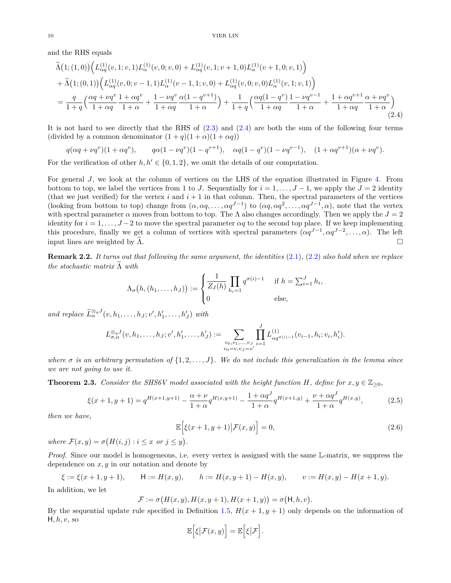and the RHS equals

$$
\tilde{\Lambda}(1;(1,0))\left(L_{\alpha q}^{(1)}(v,1;v,1)L_{\alpha}^{(1)}(v,0;v,0)+L_{\alpha q}^{(1)}(v,1;v+1,0)L_{\alpha}^{(1)}(v+1,0;v,1)\right) \n+ \tilde{\Lambda}(1;(0,1))\left(L_{\alpha q}^{(1)}(v,0;v-1,1)L_{\alpha}^{(1)}(v-1,1;v,0)+L_{\alpha q}^{(1)}(v,0;v,0)L_{\alpha}^{(1)}(v,1;v,1)\right) \n= \frac{q}{1+q}\left(\frac{\alpha q + \nu q^v}{1+\alpha q}\frac{1+\alpha q^v}{1+\alpha}+\frac{1-\nu q^v}{1+\alpha q}\frac{\alpha(1-q^{v+1})}{1+\alpha}\right)+\frac{1}{1+q}\left(\frac{\alpha q(1-q^v)}{1+\alpha q}\frac{1-\nu q^{v-1}}{1+\alpha}+\frac{1+\alpha q^{v+1}}{1+\alpha q}\frac{\alpha+\nu q^v}{1+\alpha}\right)
$$
\n(2.4)

It is not hard to see directly that the RHS of [\(2.3\)](#page-8-5) and [\(2.4\)](#page-9-1) are both the sum of the following four terms (divided by a common denominator  $(1+q)(1+\alpha)(1+\alpha q)$ )

$$
q(\alpha q + \nu q^v)(1 + \alpha q^v),
$$
  $q\alpha(1 - \nu q^v)(1 - q^{v+1}),$   $\alpha q(1 - q^v)(1 - \nu q^{v-1}),$   $(1 + \alpha q^{v+1})(\alpha + \nu q^v).$ 

For the verification of other  $h, h' \in \{0, 1, 2\}$ , we omit the details of our computation.

For general *J*, we look at the column of vertices on the LHS of the equation illustrated in Figure [4.](#page-8-1) From bottom to top, we label the vertices from 1 to *J*. Sequentially for  $i = 1, \ldots, J-1$ , we apply the  $J = 2$  identity (that we just verified) for the vertex  $i$  and  $i + 1$  in that column. Then, the spectral parameters of the vertices (looking from bottom to top) change from  $(\alpha, \alpha q, \ldots, \alpha q^{J-1})$  to  $(\alpha q, \alpha q^2, \ldots, \alpha q^{J-1}, \alpha)$ , note that the vertex with spectral parameter  $\alpha$  moves from bottom to top. The  $\Lambda$  also changes accordingly. Then we apply the  $J = 2$ identity for  $i = 1, \ldots, J-2$  to move the spectral parameter  $\alpha q$  to the second top place. If we keep implementing this procedure, finally we get a column of vertices with spectral parameters  $(\alpha q^{J-1}, \alpha q^{J-2}, \dots, \alpha)$ . The left input lines are weighted by  $\Lambda$ .

**Remark 2.2.** *It turns out that following the same argument, the identities* [\(2.1\)](#page-8-3)*,* [\(2.2\)](#page-8-4) *also hold when we replace the stochastic matrix* <sup>Λ</sup><sup>e</sup> *with*

<span id="page-9-1"></span>
$$
\Lambda_{\sigma}\big(h,(h_1,\ldots,h_J)\big) := \begin{cases} \frac{1}{Z_J(h)} \prod_{h_i=1} q^{\sigma(i)-1} & \text{if } h = \sum_{i=1}^J h_i, \\ 0 & \text{else,} \end{cases}
$$

*and replace*  $\widetilde{L}_{\alpha}^{\otimes qJ}(v, h_1, \ldots, h_J; v', h'_1, \ldots, h'_J)$  *with* 

$$
L_{\sigma,\alpha}^{\otimes_q J}(v, h_1, \ldots, h_J; v', h'_1, \ldots, h'_J) := \sum_{\substack{v_0, v_1, \ldots, v_J \\ v_0 = v, v_J = v'}} \prod_{i=1}^J L_{\alpha q^{\sigma(i)-1}}^{(1)}(v_{i-1}, h_i; v_i, h'_i).
$$

*where*  $\sigma$  *is an arbitrary permutation of*  $\{1, 2, \ldots, J\}$ *. We do not include this generalization in the lemma since we are not going to use it.*

<span id="page-9-0"></span>**Theorem 2.3.** *Consider the SHS6V model associated with the height function*  $H$ *, define for*  $x, y \in \mathbb{Z}_{\geq 0}$ *,* 

<span id="page-9-3"></span>
$$
\xi(x+1,y+1) = q^{H(x+1,y+1)} - \frac{\alpha + \nu}{1 + \alpha} q^{H(x,y+1)} - \frac{1 + \alpha q^J}{1 + \alpha} q^{H(x+1,y)} + \frac{\nu + \alpha q^J}{1 + \alpha} q^{H(x,y)},\tag{2.5}
$$

*then we have,*

<span id="page-9-2"></span>
$$
\mathbb{E}\Big[\xi(x+1,y+1)\big|\mathcal{F}(x,y)\Big] = 0,\tag{2.6}
$$

*where*  $\mathcal{F}(x, y) = \sigma(H(i, j) : i \leq x \text{ or } j \leq y)$ .

*Proof.* Since our model is homogeneous, i.e. every vertex is assigned with the same L-matrix, we suppress the dependence on *x, y* in our notation and denote by

$$
\xi := \xi(x+1, y+1),
$$
  $H := H(x, y),$   $h := H(x, y+1) - H(x, y),$   $v := H(x, y) - H(x+1, y).$ 

In addition, we let

$$
\mathcal{F} := \sigma\big(H(x, y), H(x, y + 1), H(x + 1, y)\big) = \sigma\big(\mathsf{H}, h, v\big).
$$

By the sequential update rule specified in Definition [1.5,](#page-4-3)  $H(x + 1, y + 1)$  only depends on the information of H*, h, v*, so

$$
\mathbb{E}\Big[\xi\big|\mathcal{F}(x,y)\Big]=\mathbb{E}\Big[\xi\big|\mathcal{F}\Big].
$$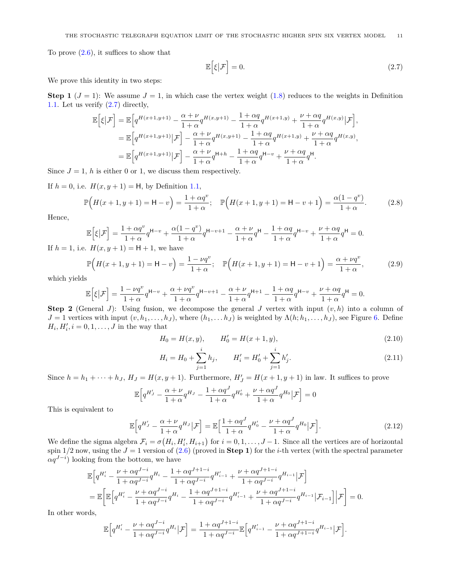To prove  $(2.6)$ , it suffices to show that

<span id="page-10-0"></span>
$$
\mathbb{E}\left[\xi|\mathcal{F}\right] = 0.\tag{2.7}
$$

We prove this identity in two steps:

**Step 1**  $(J = 1)$ : We assume  $J = 1$ , in which case the vertex weight [\(1.8\)](#page-2-1) reduces to the weights in Definition [1.1.](#page-1-0) Let us verify [\(2.7\)](#page-10-0) directly,

$$
\mathbb{E}\left[\xi\big|\mathcal{F}\right] = \mathbb{E}\left[q^{H(x+1,y+1)} - \frac{\alpha + \nu}{1 + \alpha}q^{H(x,y+1)} - \frac{1 + \alpha q}{1 + \alpha}q^{H(x+1,y)} + \frac{\nu + \alpha q}{1 + \alpha}q^{H(x,y)}\big|\mathcal{F}\right],
$$
\n
$$
= \mathbb{E}\left[q^{H(x+1,y+1)}\big|\mathcal{F}\right] - \frac{\alpha + \nu}{1 + \alpha}q^{H(x,y+1)} - \frac{1 + \alpha q}{1 + \alpha}q^{H(x+1,y)} + \frac{\nu + \alpha q}{1 + \alpha}q^{H(x,y)},
$$
\n
$$
= \mathbb{E}\left[q^{H(x+1,y+1)}\big|\mathcal{F}\right] - \frac{\alpha + \nu}{1 + \alpha}q^{H+h} - \frac{1 + \alpha q}{1 + \alpha}q^{H-v} + \frac{\nu + \alpha q}{1 + \alpha}q^{H}.
$$

Since  $J = 1$ , h is either 0 or 1, we discuss them respectively.

If  $h = 0$ , i.e.  $H(x, y + 1) = H$ , by Definition [1.1,](#page-1-0)

<span id="page-10-2"></span>
$$
\mathbb{P}\Big(H(x+1,y+1) = \mathsf{H} - v\Big) = \frac{1 + \alpha q^v}{1 + \alpha}; \quad \mathbb{P}\Big(H(x+1,y+1) = \mathsf{H} - v + 1\Big) = \frac{\alpha(1 - q^v)}{1 + \alpha}.
$$
 (2.8)

Hence,

$$
\mathbb{E}\Big[\xi\big|\mathcal{F}\Big] = \frac{1+\alpha q^v}{1+\alpha}q^{\mathsf{H}-v} + \frac{\alpha(1-q^v)}{1+\alpha}q^{\mathsf{H}-v+1} - \frac{\alpha+\nu}{1+\alpha}q^{\mathsf{H}} - \frac{1+\alpha q}{1+\alpha}q^{\mathsf{H}-v} + \frac{\nu+\alpha q}{1+\alpha}q^{\mathsf{H}} = 0.
$$

If  $h = 1$ , i.e.  $H(x, y + 1) = H + 1$ , we have

<span id="page-10-3"></span>
$$
\mathbb{P}\Big(H(x+1,y+1) = \mathsf{H} - v\Big) = \frac{1 - \nu q^v}{1 + \alpha}; \quad \mathbb{P}\Big(H(x+1,y+1) = \mathsf{H} - v + 1\Big) = \frac{\alpha + \nu q^v}{1 + \alpha},\tag{2.9}
$$

which yields

$$
\mathbb{E}\Big[\xi\big|\mathcal{F}\Big] = \frac{1-\nu q^v}{1+\alpha}q^{\mathsf{H}-v} + \frac{\alpha+\nu q^v}{1+\alpha}q^{\mathsf{H}-v+1} - \frac{\alpha+\nu}{1+\alpha}q^{\mathsf{H}+1} - \frac{1+\alpha q}{1+\alpha}q^{\mathsf{H}-v} + \frac{\nu+\alpha q}{1+\alpha}q^{\mathsf{H}} = 0.
$$

**Step 2** (General *J*): Using fusion, we decompose the general *J* vertex with input  $(v, h)$  into a column of  $J = 1$  vertices with input  $(v, h_1, \ldots, h_J)$ , where  $(h_1, \ldots, h_J)$  is weighted by  $\Lambda(h; h_1, \ldots, h_J)$ , see Figure [6.](#page-11-2) Define  $H_i, H'_i, i = 0, 1, \ldots, J$  in the way that

<span id="page-10-4"></span>
$$
H_0 = H(x, y), \qquad H'_0 = H(x + 1, y), \tag{2.10}
$$

<span id="page-10-5"></span><span id="page-10-1"></span>
$$
H_i = H_0 + \sum_{j=1}^{i} h_j, \qquad H'_i = H'_0 + \sum_{j=1}^{i} h'_j.
$$
 (2.11)

Since  $h = h_1 + \cdots + h_J$ ,  $H_J = H(x, y + 1)$ . Furthermore,  $H'_J = H(x + 1, y + 1)$  in law. It suffices to prove

$$
\mathbb{E}\Big[q^{H'_J} - \frac{\alpha + \nu}{1 + \alpha} q^{H_J} - \frac{1 + \alpha q^J}{1 + \alpha} q^{H'_0} + \frac{\nu + \alpha q^J}{1 + \alpha} q^{H_0} \Big| \mathcal{F}\Big] = 0
$$

This is equivalent to

$$
\mathbb{E}\Big[q^{H'_J} - \frac{\alpha + \nu}{1 + \alpha} q^{H_J} \big| \mathcal{F}\Big] = \mathbb{E}\Big[\frac{1 + \alpha q^J}{1 + \alpha} q^{H'_0} - \frac{\nu + \alpha q^J}{1 + \alpha} q^{H_0} \big| \mathcal{F}\Big].\tag{2.12}
$$

We define the sigma algebra  $\mathcal{F}_i = \sigma(H_i, H'_i, H_{i+1})$  for  $i = 0, 1, \ldots, J-1$ . Since all the vertices are of horizontal spin  $1/2$  now, using the  $J = 1$  version of  $(2.6)$  (proved in **Step 1**) for the *i*-th vertex (with the spectral parameter  $\alpha q^{J-i}$ ) looking from the bottom, we have

$$
\mathbb{E}\Big[q^{H'_{i}} - \frac{\nu + \alpha q^{J-i}}{1 + \alpha q^{J-i}}q^{H_{i}} - \frac{1 + \alpha q^{J+1-i}}{1 + \alpha q^{J-i}}q^{H'_{i-1}} + \frac{\nu + \alpha q^{J+1-i}}{1 + \alpha q^{J-i}}q^{H_{i-1}}\Big|\mathcal{F}\Big]
$$
\n
$$
= \mathbb{E}\Big[\mathbb{E}\Big[q^{H'_{i}} - \frac{\nu + \alpha q^{J-i}}{1 + \alpha q^{J-i}}q^{H_{i}} - \frac{1 + \alpha q^{J+1-i}}{1 + \alpha q^{J-i}}q^{H'_{i-1}} + \frac{\nu + \alpha q^{J+1-i}}{1 + \alpha q^{J-i}}q^{H_{i-1}}\Big|\mathcal{F}_{i-1}\Big]\Big|\mathcal{F}\Big] = 0.
$$

In other words,

$$
\mathbb{E}\Big[q^{H'_i} - \frac{\nu + \alpha q^{J-i}}{1 + \alpha q^{J-i}} q^{H_i} \big| \mathcal{F}\Big] = \frac{1 + \alpha q^{J+1-i}}{1 + \alpha q^{J-i}} \mathbb{E}\Big[q^{H'_{i-1}} - \frac{\nu + \alpha q^{J+1-i}}{1 + \alpha q^{J+1-i}} q^{H_{i-1}} \big| \mathcal{F}\Big].
$$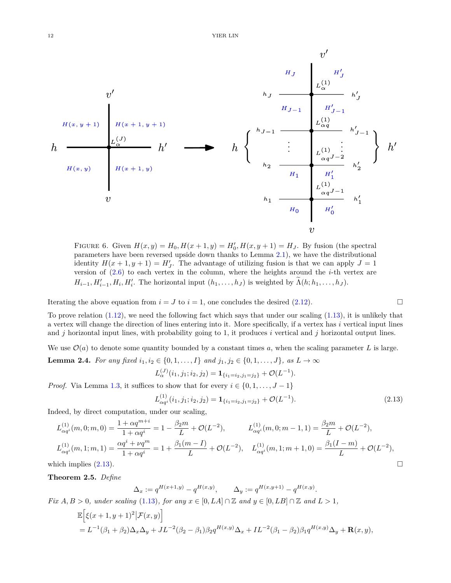

FIGURE 6. Given  $H(x, y) = H_0, H(x + 1, y) = H'_0, H(x, y + 1) = H_J$ . By fusion (the spectral parameters have been reversed upside down thanks to Lemma [2.1\)](#page-8-0), we have the distributional identity  $H(x + 1, y + 1) = H'_J$ . The advantage of utilizing fusion is that we can apply  $J = 1$ version of [\(2.6\)](#page-9-2) to each vertex in the column, where the heights around the *i*-th vertex are  $H_{i-1}, H'_{i-1}, H_i, H'_i$ . The horizontal input  $(h_1, \ldots, h_J)$  is weighted by  $\Lambda(h; h_1, \ldots, h_J)$ .

Iterating the above equation from  $i = J$  to  $i = 1$ , one concludes the desired [\(2.12\)](#page-10-1).

To prove relation  $(1.12)$ , we need the following fact which says that under our scaling  $(1.13)$ , it is unlikely that a vertex will change the direction of lines entering into it. More specifically, if a vertex has *i* vertical input lines and *j* horizontal input lines, with probability going to 1, it produces *i* vertical and *j* horizontal output lines.

<span id="page-11-1"></span>We use  $\mathcal{O}(a)$  to denote some quantity bounded by a constant times a, when the scaling parameter L is large. **Lemma 2.4.** *For any fixed*  $i_1, i_2 \in \{0, 1, ..., I\}$  *and*  $j_1, j_2 \in \{0, 1, ..., J\}$ *, as L* → ∞

$$
L_{\alpha}^{(J)}(i_1, j_1; i_2, j_2) = \mathbf{1}_{\{i_1 = i_2, j_1 = j_2\}} + \mathcal{O}(L^{-1}).
$$
  
it suffices to show that for every  $i \in \{0, 1, ..., J - 1\}$ 

<span id="page-11-3"></span>
$$
L_{\alpha q_i}^{(1)}(i_1, j_1; i_2, j_2) = \mathbf{1}_{\{i_1 = i_2, j_1 = j_2\}} + \mathcal{O}(L^{-1}).
$$
\n(2.13)

Indeed, by direct computation, under our scaling,

$$
L_{\alpha q^{i}}^{(1)}(m,0;m,0) = \frac{1 + \alpha q^{m+i}}{1 + \alpha q^{i}} = 1 - \frac{\beta_2 m}{L} + \mathcal{O}(L^{-2}), \qquad L_{\alpha q^{i}}^{(1)}(m,0;m-1,1) = \frac{\beta_2 m}{L} + \mathcal{O}(L^{-2}),
$$
  
\n
$$
L_{\alpha q^{i}}^{(1)}(m,1;m,1) = \frac{\alpha q^{i} + \nu q^{m}}{1 + \alpha q^{i}} = 1 + \frac{\beta_1 (m-1)}{L} + \mathcal{O}(L^{-2}), \qquad L_{\alpha q^{i}}^{(1)}(m,1;m+1,0) = \frac{\beta_1 (I-m)}{L} + \mathcal{O}(L^{-2}),
$$
  
\nwhich implies (2.13).

<span id="page-11-0"></span>**Theorem 2.5.** *Define*

*Proof.* Via Lemma [1.3,](#page-3-2)

$$
\Delta_x := q^{H(x+1,y)} - q^{H(x,y)}, \qquad \Delta_y := q^{H(x,y+1)} - q^{H(x,y)}.
$$

*Fix*  $A, B > 0$ *, under scaling* [\(1.13\)](#page-6-0)*, for any*  $x \in [0, LA] \cap \mathbb{Z}$  *and*  $y \in [0, LB] \cap \mathbb{Z}$  *and*  $L > 1$ *,* 

$$
\mathbb{E}\Big[\xi(x+1,y+1)^2|\mathcal{F}(x,y)\Big] \n= L^{-1}(\beta_1+\beta_2)\Delta_x\Delta_y + JL^{-2}(\beta_2-\beta_1)\beta_2q^{H(x,y)}\Delta_x + IL^{-2}(\beta_1-\beta_2)\beta_1q^{H(x,y)}\Delta_y + \mathbf{R}(x,y),
$$

<span id="page-11-2"></span>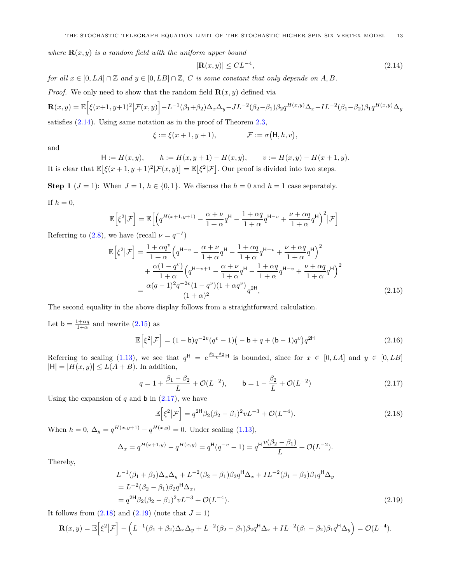*where*  $\mathbf{R}(x, y)$  *is a random field with the uniform upper bound* 

<span id="page-12-0"></span>
$$
|\mathbf{R}(x,y)| \leq CL^{-4},\tag{2.14}
$$

*for all*  $x \in [0, L\Delta] \cap \mathbb{Z}$  *and*  $y \in [0, L\Delta] \cap \mathbb{Z}$ , *C is some constant that only depends on A, B*.

*Proof.* We only need to show that the random field  $\mathbf{R}(x, y)$  defined via

$$
\mathbf{R}(x,y) = \mathbb{E}\Big[\xi(x+1,y+1)^2\big|\mathcal{F}(x,y)\Big] - L^{-1}(\beta_1+\beta_2)\Delta_x\Delta_y - JL^{-2}(\beta_2-\beta_1)\beta_2q^{H(x,y)}\Delta_x - IL^{-2}(\beta_1-\beta_2)\beta_1q^{H(x,y)}\Delta_y
$$

satisfies  $(2.14)$ . Using same notation as in the proof of Theorem [2.3,](#page-9-0)

$$
\xi := \xi(x+1, y+1), \qquad \mathcal{F} := \sigma(\mathsf{H}, h, v),
$$

and

$$
\mathsf{H} := H(x, y), \qquad h := H(x, y + 1) - H(x, y), \qquad v := H(x, y) - H(x + 1, y).
$$
\nIt is clear that  $\mathbb{E}[\xi(x+1, y+1)^2 | \mathcal{F}(x, y)] = \mathbb{E}[\xi^2 | \mathcal{F}].$  Our proof is divided into two steps.

**Step 1** ( $J = 1$ ): When  $J = 1$ ,  $h \in \{0, 1\}$ . We discuss the  $h = 0$  and  $h = 1$  case separately.

If 
$$
h = 0
$$
,

$$
\mathbb{E}\Big[\xi^2\big|\mathcal{F}\Big] = \mathbb{E}\Big[\Big(q^{H(x+1,y+1)} - \frac{\alpha + \nu}{1 + \alpha}q^{\mathsf{H}} - \frac{1 + \alpha q}{1 + \alpha}q^{\mathsf{H} - \nu} + \frac{\nu + \alpha q}{1 + \alpha}q^{\mathsf{H}}\Big)^2\big|\mathcal{F}\Big]
$$

Referring to [\(2.8\)](#page-10-2), we have (recall  $\nu = q^{-1}$ )

$$
\mathbb{E}\left[\xi^{2}|\mathcal{F}\right] = \frac{1+\alpha q^{v}}{1+\alpha} \left(q^{\mathsf{H}-v} - \frac{\alpha+\nu}{1+\alpha}q^{\mathsf{H}} - \frac{1+\alpha q}{1+\alpha}q^{\mathsf{H}-v} + \frac{\nu+\alpha q}{1+\alpha}q^{\mathsf{H}}\right)^{2} + \frac{\alpha(1-q^{v})}{1+\alpha}\left(q^{\mathsf{H}-v+1} - \frac{\alpha+\nu}{1+\alpha}q^{\mathsf{H}} - \frac{1+\alpha q}{1+\alpha}q^{\mathsf{H}-v} + \frac{\nu+\alpha q}{1+\alpha}q^{\mathsf{H}}\right)^{2} = \frac{\alpha(q-1)^{2}q^{-2v}(1-q^{v})(1+\alpha q^{v})}{(1+\alpha)^{2}}q^{2\mathsf{H}},
$$
\n(2.15)

The second equality in the above display follows from a straightforward calculation.

Let  $\mathsf{b} = \frac{1+\alpha q}{1+\alpha}$  and rewrite [\(2.15\)](#page-12-1) as

<span id="page-12-5"></span><span id="page-12-1"></span>
$$
\mathbb{E}\left[\xi^2|\mathcal{F}\right] = (1 - b)q^{-2v}(q^v - 1)\left(-b + q + (b - 1)q^v\right)q^{2\mathsf{H}}
$$
\n(2.16)

Referring to scaling [\(1.13\)](#page-6-0), we see that  $q^{\text{H}} = e^{\frac{\beta_1-\beta_2}{L}\text{H}}$  is bounded, since for  $x \in [0,LA]$  and  $y \in [0,LB]$  $|H| = |H(x, y)| \le L(A + B)$ . In addition,

<span id="page-12-2"></span>
$$
q = 1 + \frac{\beta_1 - \beta_2}{L} + \mathcal{O}(L^{-2}), \qquad b = 1 - \frac{\beta_2}{L} + \mathcal{O}(L^{-2})
$$
\n(2.17)

Using the expansion of  $q$  and  $\mathfrak b$  in  $(2.17)$ , we have

<span id="page-12-4"></span><span id="page-12-3"></span>
$$
\mathbb{E}\left[\xi^2|\mathcal{F}\right] = q^{2\mathsf{H}}\beta_2(\beta_2 - \beta_1)^2vL^{-3} + \mathcal{O}(L^{-4}).\tag{2.18}
$$

When  $h = 0$ ,  $\Delta_y = q^{H(x,y+1)} - q^{H(x,y)} = 0$ . Under scaling [\(1.13\)](#page-6-0),

$$
\Delta_x = q^{H(x+1,y)} - q^{H(x,y)} = q^{\mathsf{H}}(q^{-v} - 1) = q^{\mathsf{H}} \frac{v(\beta_2 - \beta_1)}{L} + \mathcal{O}(L^{-2}).
$$

Thereby,

$$
L^{-1}(\beta_1 + \beta_2)\Delta_x\Delta_y + L^{-2}(\beta_2 - \beta_1)\beta_2 q^{\mathsf{H}}\Delta_x + IL^{-2}(\beta_1 - \beta_2)\beta_1 q^{\mathsf{H}}\Delta_y
$$
  
=  $L^{-2}(\beta_2 - \beta_1)\beta_2 q^{\mathsf{H}}\Delta_x$ ,  
=  $q^{2\mathsf{H}}\beta_2(\beta_2 - \beta_1)^2vL^{-3} + \mathcal{O}(L^{-4})$ . (2.19)

It follows from  $(2.18)$  and  $(2.19)$  (note that  $J=1$ )

$$
\mathbf{R}(x,y) = \mathbb{E}\Big[\xi^2|\mathcal{F}\Big] - \Big(L^{-1}(\beta_1 + \beta_2)\Delta_x\Delta_y + L^{-2}(\beta_2 - \beta_1)\beta_2 q^{\mathsf{H}}\Delta_x + IL^{-2}(\beta_1 - \beta_2)\beta_1 q^{\mathsf{H}}\Delta_y\Big) = \mathcal{O}(L^{-4}).
$$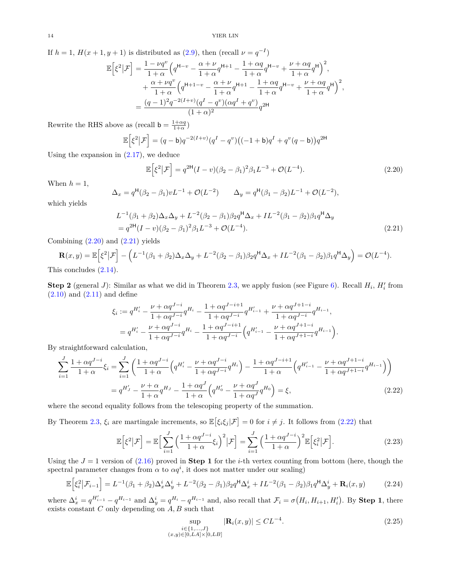If  $h = 1$ ,  $H(x+1, y+1)$  is distributed as  $(2.9)$ , then (recall  $\nu = q^{-1}$ )

$$
\mathbb{E}\left[\xi^2|\mathcal{F}\right] = \frac{1-\nu q^v}{1+\alpha} \Big(q^{\mathsf{H}-v} - \frac{\alpha+\nu}{1+\alpha}q^{\mathsf{H}+1} - \frac{1+\alpha q}{1+\alpha}q^{\mathsf{H}-v} + \frac{\nu+\alpha q}{1+\alpha}q^{\mathsf{H}}\Big)^2, \n+ \frac{\alpha+\nu q^v}{1+\alpha} \Big(q^{\mathsf{H}+1-v} - \frac{\alpha+\nu}{1+\alpha}q^{\mathsf{H}+1} - \frac{1+\alpha q}{1+\alpha}q^{\mathsf{H}-v} + \frac{\nu+\alpha q}{1+\alpha}q^{\mathsf{H}}\Big)^2, \n= \frac{(q-1)^2q^{-2(I+v)}(q^I-q^v)(\alpha q^I+q^v)}{(1+\alpha)^2}q^{2\mathsf{H}}
$$

Rewrite the RHS above as (recall  $\mathbf{b} = \frac{1+\alpha q}{1+\alpha}$ )

$$
\mathbb{E}\Big[\xi^2|\mathcal{F}\Big] = (q-\mathsf{b})q^{-2(I+v)}(q^I - q^v)\big((-1+\mathsf{b})q^I + q^v(q-\mathsf{b})\big)q^{2\mathsf{H}}
$$

Using the expansion in [\(2.17\)](#page-12-2), we deduce

$$
\mathbb{E}\left[\xi^2|\mathcal{F}\right] = q^{2\mathsf{H}}(I-v)(\beta_2 - \beta_1)^2 \beta_1 L^{-3} + \mathcal{O}(L^{-4}).\tag{2.20}
$$

When  $h = 1$ ,

$$
\Delta_x = q^{\mathsf{H}}(\beta_2 - \beta_1)vL^{-1} + \mathcal{O}(L^{-2}) \qquad \Delta_y = q^{\mathsf{H}}(\beta_1 - \beta_2)L^{-1} + \mathcal{O}(L^{-2}),
$$

which yields

$$
L^{-1}(\beta_1 + \beta_2)\Delta_x\Delta_y + L^{-2}(\beta_2 - \beta_1)\beta_2 q^{\mathsf{H}}\Delta_x + IL^{-2}(\beta_1 - \beta_2)\beta_1 q^{\mathsf{H}}\Delta_y
$$
  
=  $q^{2\mathsf{H}}(I - v)(\beta_2 - \beta_1)^2\beta_1 L^{-3} + \mathcal{O}(L^{-4}).$  (2.21)

Combining  $(2.20)$  and  $(2.21)$  yields

$$
\mathbf{R}(x,y) = \mathbb{E}\left[\xi^2|\mathcal{F}\right] - \left(L^{-1}(\beta_1 + \beta_2)\Delta_x\Delta_y + L^{-2}(\beta_2 - \beta_1)\beta_2 q^{\mathsf{H}}\Delta_x + IL^{-2}(\beta_1 - \beta_2)\beta_1 q^{\mathsf{H}}\Delta_y\right) = \mathcal{O}(L^{-4}).
$$
is conclude (2.14).

This concludes [\(2.14\)](#page-12-0).

**Step 2** (general *J*): Similar as what we did in Theorem [2.3,](#page-9-0) we apply fusion (see Figure [6\)](#page-11-2). Recall  $H_i$ ,  $H'_i$  from  $(2.10)$  and  $(2.11)$  and define

$$
\xi_i := q^{H'_i} - \frac{\nu + \alpha q^{J-i}}{1 + \alpha q^{J-i}} q^{H_i} - \frac{1 + \alpha q^{J-i+1}}{1 + \alpha q^{J-i}} q^{H'_{i-1}} + \frac{\nu + \alpha q^{J+1-i}}{1 + \alpha q^{J-i}} q^{H_{i-1}},
$$
  
=  $q^{H'_i} - \frac{\nu + \alpha q^{J-i}}{1 + \alpha q^{J-i}} q^{H_i} - \frac{1 + \alpha q^{J-i+1}}{1 + \alpha q^{J-i}} \left( q^{H'_{i-1}} - \frac{\nu + \alpha q^{J+1-i}}{1 + \alpha q^{J+1-i}} q^{H_{i-1}} \right)$ 

By straightforward calculation,

$$
\sum_{i=1}^{J} \frac{1 + \alpha q^{J-i}}{1 + \alpha} \xi_i = \sum_{i=1}^{J} \left( \frac{1 + \alpha q^{J-i}}{1 + \alpha} \left( q^{H'_i} - \frac{\nu + \alpha q^{J-i}}{1 + \alpha q^{J-i}} q^{H_i} \right) - \frac{1 + \alpha q^{J-i+1}}{1 + \alpha} \left( q^{H'_{i-1}} - \frac{\nu + \alpha q^{J+1-i}}{1 + \alpha q^{J+1-i}} q^{H_{i-1}} \right) \right)
$$
  
=  $q^{H'_J} - \frac{\nu + \alpha}{1 + \alpha} q^{H_J} - \frac{1 + \alpha q^J}{1 + \alpha} \left( q^{H'_0} - \frac{\nu + \alpha q^J}{1 + \alpha q^J} q^{H_0} \right) = \xi,$  (2.22)

where the second equality follows from the telescoping property of the summation.

By Theorem [2.3,](#page-9-0)  $\xi_i$  are martingale increments, so  $\mathbb{E}[\xi_i\xi_j|\mathcal{F}] = 0$  for  $i \neq j$ . It follows from [\(2.22\)](#page-13-2) that

$$
\mathbb{E}\left[\xi^2|\mathcal{F}\right] = \mathbb{E}\left[\sum_{i=1}^J \left(\frac{1+\alpha q^{J-i}}{1+\alpha}\xi_i\right)^2|\mathcal{F}\right] = \sum_{i=1}^J \left(\frac{1+\alpha q^{J-i}}{1+\alpha}\right)^2 \mathbb{E}\left[\xi_i^2|\mathcal{F}\right].\tag{2.23}
$$

Using the  $J = 1$  version of  $(2.16)$  proved in **Step 1** for the *i*-th vertex counting from bottom (here, though the spectral parameter changes from  $\alpha$  to  $\alpha q^i$ , it does not matter under our scaling)

$$
\mathbb{E}\Big[\xi_i^2\big|\mathcal{F}_{i-1}\Big] = L^{-1}(\beta_1 + \beta_2)\Delta_x^i\Delta_y^i + L^{-2}(\beta_2 - \beta_1)\beta_2 q^{\mathsf{H}}\Delta_x^i + IL^{-2}(\beta_1 - \beta_2)\beta_1 q^{\mathsf{H}}\Delta_y^i + \mathbf{R}_i(x, y) \tag{2.24}
$$

where  $\Delta_x^i = q^{H'_{i-1}} - q^{H_{i-1}}$  and  $\Delta_y^i = q^{H_i} - q^{H_{i-1}}$  and, also recall that  $\mathcal{F}_i = \sigma(H_i, H_{i+1}, H'_i)$ . By **Step 1**, there exists constant *C* only depending on *A, B* such that

<span id="page-13-5"></span>
$$
\sup_{\substack{i \in \{1,\dots,J\} \\ (x,y) \in [0,LA] \times [0,LB]}} |\mathbf{R}_i(x,y)| \leq CL^{-4}.
$$
\n(2.25)

<span id="page-13-4"></span><span id="page-13-3"></span><span id="page-13-2"></span><span id="page-13-1"></span><span id="page-13-0"></span>*.*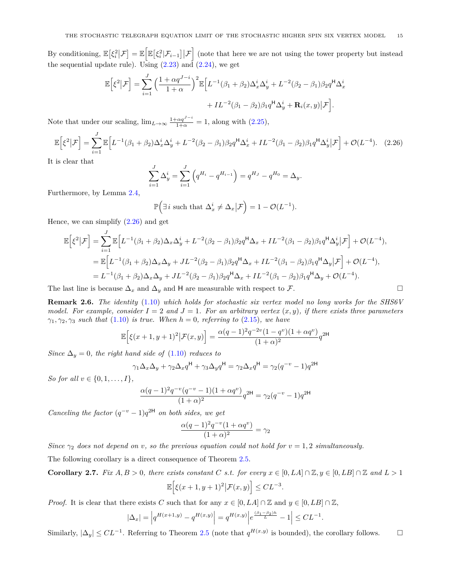By conditioning,  $\mathbb{E}\left[\xi_i^2|\mathcal{F}]\right] = \mathbb{E}\left[\mathbb{E}\left[\xi_i^2|\mathcal{F}_{i-1}\right]|\mathcal{F}\right]$  (note that here we are not using the tower property but instead the sequential update rule). Using  $(2.23)$  and  $(2.24)$ , we get

$$
\mathbb{E}\Big[\xi^2\big|\mathcal{F}\Big] = \sum_{i=1}^J \Big(\frac{1+\alpha q^{J-i}}{1+\alpha}\Big)^2 \mathbb{E}\Big[L^{-1}(\beta_1+\beta_2)\Delta_x^i\Delta_y^i + L^{-2}(\beta_2-\beta_1)\beta_2 q^{\mathsf{H}}\Delta_x^i
$$

$$
+ IL^{-2}(\beta_1-\beta_2)\beta_1 q^{\mathsf{H}}\Delta_y^i + \mathbf{R}_i(x,y)\big|\mathcal{F}\Big].
$$

Note that under our scaling,  $\lim_{L \to \infty} \frac{1 + \alpha q^{J-i}}{1 + \alpha} = 1$ , along with [\(2.25\)](#page-13-5),

$$
\mathbb{E}\left[\xi^2|\mathcal{F}\right] = \sum_{i=1}^J \mathbb{E}\left[L^{-1}(\beta_1 + \beta_2)\Delta_x^i \Delta_y^i + L^{-2}(\beta_2 - \beta_1)\beta_2 q^{\mathsf{H}} \Delta_x^i + IL^{-2}(\beta_1 - \beta_2)\beta_1 q^{\mathsf{H}} \Delta_y^i|\mathcal{F}\right] + \mathcal{O}(L^{-4}).\tag{2.26}
$$

It is clear that

<span id="page-14-1"></span>
$$
\sum_{i=1}^{J} \Delta_y^i = \sum_{i=1}^{J} \left( q^{H_i} - q^{H_{i-1}} \right) = q^{H_J} - q^{H_0} = \Delta_y.
$$

Furthermore, by Lemma [2.4,](#page-11-1)

$$
\mathbb{P}\Big(\exists i \text{ such that } \Delta_x^i \neq \Delta_x | \mathcal{F}\Big) = 1 - \mathcal{O}(L^{-1}).
$$

Hence, we can simplify  $(2.26)$  and get

$$
\mathbb{E}\Big[\xi^2\big|\mathcal{F}\Big] = \sum_{i=1}^J \mathbb{E}\Big[L^{-1}(\beta_1 + \beta_2)\Delta_x\Delta_y^i + L^{-2}(\beta_2 - \beta_1)\beta_2 q^{\mathsf{H}}\Delta_x + IL^{-2}(\beta_1 - \beta_2)\beta_1 q^{\mathsf{H}}\Delta_y^i\big|\mathcal{F}\Big] + \mathcal{O}(L^{-4}),
$$
  
\n
$$
= \mathbb{E}\Big[L^{-1}(\beta_1 + \beta_2)\Delta_x\Delta_y + JL^{-2}(\beta_2 - \beta_1)\beta_2 q^{\mathsf{H}}\Delta_x + IL^{-2}(\beta_1 - \beta_2)\beta_1 q^{\mathsf{H}}\Delta_y\big|\mathcal{F}\Big] + \mathcal{O}(L^{-4}),
$$
  
\n
$$
= L^{-1}(\beta_1 + \beta_2)\Delta_x\Delta_y + JL^{-2}(\beta_2 - \beta_1)\beta_2 q^{\mathsf{H}}\Delta_x + IL^{-2}(\beta_1 - \beta_2)\beta_1 q^{\mathsf{H}}\Delta_y + \mathcal{O}(L^{-4}).
$$

The last line is because  $\Delta_x$  and  $\Delta_y$  and H are measurable with respect to F.

<span id="page-14-0"></span>**Remark 2.6.** *The identity* [\(1.10\)](#page-4-1) *which holds for stochastic six vertex model no long works for the SHS6V model. For example, consider*  $I = 2$  *and*  $J = 1$ *. For an arbitrary vertex*  $(x, y)$ *, if there exists three parameters γ*1*, γ*2*, γ*<sup>3</sup> *such that* [\(1.10\)](#page-4-1) *is true. When h* = 0*, referring to* [\(2.15\)](#page-12-1)*, we have*

$$
\mathbb{E}\Big[\xi(x+1,y+1)^2\big|\mathcal{F}(x,y)\Big] = \frac{\alpha(q-1)^2q^{-2v}(1-q^v)(1+\alpha q^v)}{(1+\alpha)^2}q^{2\mathsf{H}}
$$

*Since*  $\Delta_y = 0$ *, the right hand side of* [\(1.10\)](#page-4-1) *reduces to* 

$$
\gamma_1 \Delta_x \Delta_y + \gamma_2 \Delta_x q^{\mathsf{H}} + \gamma_3 \Delta_y q^{\mathsf{H}} = \gamma_2 \Delta_x q^{\mathsf{H}} = \gamma_2 (q^{-v} - 1) q^{2\mathsf{H}}
$$

*So for all*  $v \in \{0, 1, ..., I\}$ *,* 

$$
\frac{\alpha(q-1)^2 q^{-v} (q^{-v}-1)(1+\alpha q^v)}{(1+\alpha)^2} q^{2\mathsf{H}} = \gamma_2(q^{-v}-1) q^{2\mathsf{H}}
$$

*Canceling the factor*  $(q^{-v} - 1)q^{2H}$  *on both sides, we get* 

$$
\frac{\alpha(q-1)^2q^{-v}(1+\alpha q^v)}{(1+\alpha)^2} = \gamma_2
$$

*Since*  $\gamma_2$  *does not depend on v, so the previous equation could not hold for*  $v = 1, 2$  *simultaneously.* 

The following corollary is a direct consequence of Theorem [2.5.](#page-11-0)

<span id="page-14-2"></span>Corollary 2.7. Fix 
$$
A, B > 0
$$
, there exists constant C s.t. for every  $x \in [0, LA] \cap \mathbb{Z}, y \in [0, LB] \cap \mathbb{Z}$  and  $L > 1$   

$$
\mathbb{E}\Big[\xi(x+1,y+1)^2\big|\mathcal{F}(x,y)\Big] \leq CL^{-3}.
$$

*Proof.* It is clear that there exists *C* such that for any  $x \in [0, L\mathcal{A}] \cap \mathbb{Z}$  and  $y \in [0, L\mathcal{B}] \cap \mathbb{Z}$ ,

$$
|\Delta_x| = \left| q^{H(x+1,y)} - q^{H(x,y)} \right| = q^{H(x,y)} \left| e^{\frac{(\beta_1 - \beta_2)h}{L}} - 1 \right| \leq CL^{-1}.
$$

Similarly,  $|\Delta_y|$  ≤  $CL^{-1}$ . Referring to Theorem [2.5](#page-11-0) (note that  $q^{H(x,y)}$  is bounded), the corollary follows.  $\Box$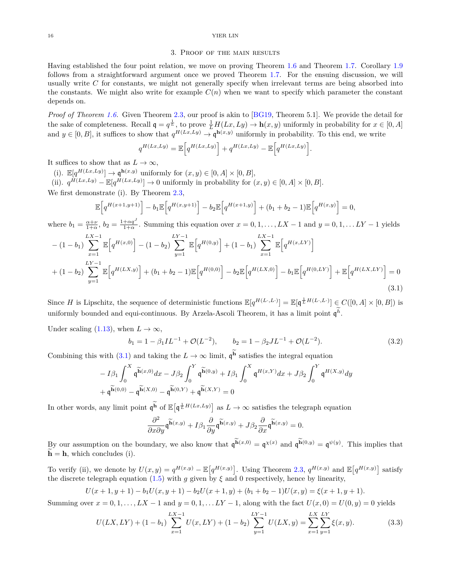### 3. Proof of the main results

<span id="page-15-0"></span>Having established the four point relation, we move on proving Theorem [1.6](#page-6-1) and Theorem [1.7.](#page-6-2) Corollary [1.9](#page-7-0) follows from a straightforward argument once we proved Theorem [1.7.](#page-6-2) For the ensuing discussion, we will usually write *C* for constants, we might not generally specify when irrelevant terms are being absorbed into the constants. We might also write for example  $C(n)$  when we want to specify which parameter the constant depends on.

*Proof of Theorem [1.6.](#page-6-1)* Given Theorem [2.3,](#page-9-0) our proof is akin to [\[BG19,](#page-23-0) Theorem 5.1]. We provide the detail for the sake of completeness. Recall  $\mathbf{q} = q^{\frac{1}{L}}$ , to prove  $\frac{1}{L}H(Lx, Ly) \to \mathbf{h}(x, y)$  uniformly in probability for  $x \in [0, A]$ and  $y \in [0, B]$ , it suffices to show that  $q^{H(Lx, Ly)} \to \mathfrak{q}^{\mathbf{h}(x,y)}$  uniformly in probability. To this end, we write

$$
q^{H(Lx,Ly)} = \mathbb{E}\Big[q^{H(Lx,Ly)}\Big] + q^{H(Lx,Ly)} - \mathbb{E}\Big[q^{H(Lx,Ly)}\Big].
$$

It suffices to show that as  $L \to \infty$ ,

(i).  $\mathbb{E}[q^{H(Lx,Ly)}] \to \mathfrak{q}^{\mathbf{h}(x,y)}$  uniformly for  $(x,y) \in [0,A] \times [0,B],$ (ii).  $q^{H(Lx,Ly)} - \mathbb{E}[q^{H(Lx,Ly)}] \to 0$  uniformly in probability for  $(x, y) \in [0, A] \times [0, B]$ .

We first demonstrate (i). By Theorem [2.3,](#page-9-0)

$$
\mathbb{E}\Big[q^{H(x+1,y+1)}\Big] - b_1 \mathbb{E}\Big[q^{H(x,y+1)}\Big] - b_2 \mathbb{E}\Big[q^{H(x+1,y)}\Big] + (b_1 + b_2 - 1)\mathbb{E}\Big[q^{H(x,y)}\Big] = 0,
$$

where  $b_1 = \frac{\alpha + \nu}{1+\alpha}$ ,  $b_2 = \frac{1+\alpha q^J}{1+\alpha}$ . Summing this equation over  $x = 0, 1, \ldots, LX - 1$  and  $y = 0, 1, \ldots LY - 1$  yields

$$
- (1 - b_1) \sum_{x=1}^{LX-1} \mathbb{E} \left[ q^{H(x,0)} \right] - (1 - b_2) \sum_{y=1}^{LY-1} \mathbb{E} \left[ q^{H(0,y)} \right] + (1 - b_1) \sum_{x=1}^{LX-1} \mathbb{E} \left[ q^{H(x,LY)} \right] + (1 - b_2) \sum_{y=1}^{LY-1} \mathbb{E} \left[ q^{H(LX,y)} \right] + (b_1 + b_2 - 1) \mathbb{E} \left[ q^{H(0,0)} \right] - b_2 \mathbb{E} \left[ q^{H(LX,0)} \right] - b_1 \mathbb{E} \left[ q^{H(0,LY)} \right] + \mathbb{E} \left[ q^{H(LX,LY)} \right] = 0
$$
\n(3.1)

Since *H* is Lipschitz, the sequence of deterministic functions  $\mathbb{E}[q^{H(L \cdot, L \cdot)}] = \mathbb{E}[q^{\frac{1}{L}H(L \cdot, L \cdot)}] \in C([0, A] \times [0, B])$  is uniformly bounded and equi-continuous. By Arzela-Ascoli Theorem, it has a limit point  $\mathfrak{q}^h$ .

Under scaling [\(1.13\)](#page-6-0), when  $L \to \infty$ ,

<span id="page-15-3"></span><span id="page-15-1"></span>
$$
b_1 = 1 - \beta_1 IL^{-1} + \mathcal{O}(L^{-2}), \qquad b_2 = 1 - \beta_2 JL^{-1} + \mathcal{O}(L^{-2}). \tag{3.2}
$$

Combining this with [\(3.1\)](#page-15-1) and taking the  $L \to \infty$  limit,  $\mathfrak{q}^{\mathbf{h}}$  satisfies the integral equation

$$
-I\beta_1 \int_0^X \mathfrak{q}^{\widetilde{\mathbf{h}}(x,0)} dx - J\beta_2 \int_0^Y \mathfrak{q}^{\widetilde{\mathbf{h}}(0,y)} + I\beta_1 \int_0^X \mathfrak{q}^{H(x,Y)} dx + J\beta_2 \int_0^Y \mathfrak{q}^{H(X,y)} dy
$$

$$
+ \mathfrak{q}^{\widetilde{\mathbf{h}}(0,0)} - \mathfrak{q}^{\widetilde{\mathbf{h}}(X,0)} - \mathfrak{q}^{\widetilde{\mathbf{h}}(0,Y)} + \mathfrak{q}^{\widetilde{\mathbf{h}}(X,Y)} = 0
$$

In other words, any limit point  $\mathfrak{q}^{\mathbf{h}}$  of  $\mathbb{E}[\mathfrak{q}^{\frac{1}{L}H(Lx,Ly)}]$  as  $L \to \infty$  satisfies the telegraph equation

<span id="page-15-2"></span>
$$
\frac{\partial^2}{\partial x \partial y} \widetilde{\mathfrak{q}^{\text{h}}}(x,y) + I \beta_1 \frac{\partial}{\partial y} \widetilde{\mathfrak{q}^{\text{h}}}(x,y) + J \beta_2 \frac{\partial}{\partial x} \widetilde{\mathfrak{q}^{\text{h}}}(x,y) = 0.
$$

By our assumption on the boundary, we also know that  $\mathfrak{q}^{\mathbf{h}(x,0)} = \mathfrak{q}^{\chi(x)}$  and  $\mathfrak{q}^{\mathbf{h}(0,y)} = \mathfrak{q}^{\psi(y)}$ . This implies that  $\widetilde{\mathbf{h}} = \mathbf{h}$ , which concludes (i).

To verify (ii), we denote by  $U(x,y) = q^{H(x,y)} - \mathbb{E}[q^{H(x,y)}]$ . Using Theorem [2.3,](#page-9-0)  $q^{H(x,y)}$  and  $\mathbb{E}[q^{H(x,y)}]$  satisfy the discrete telegraph equation [\(1.5\)](#page-0-2) with *g* given by  $\xi$  and 0 respectively, hence by linearity,

$$
U(x+1, y+1) - b_1U(x, y+1) - b_2U(x+1, y) + (b_1 + b_2 - 1)U(x, y) = \xi(x+1, y+1).
$$

Summing over  $x = 0, 1, \ldots, LX - 1$  and  $y = 0, 1, \ldots LY - 1$ , along with the fact  $U(x, 0) = U(0, y) = 0$  yields

$$
U(LX, LY) + (1 - b_1) \sum_{x=1}^{LX-1} U(x, LY) + (1 - b_2) \sum_{y=1}^{LY-1} U(LX, y) = \sum_{x=1}^{LX} \sum_{y=1}^{LY} \xi(x, y).
$$
 (3.3)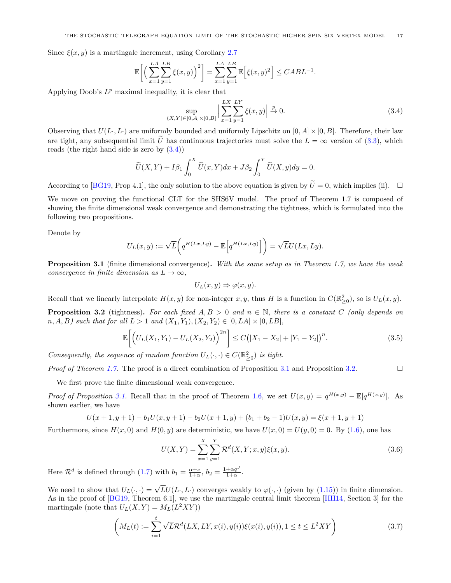Since  $\xi(x, y)$  is a martingale increment, using Corollary [2.7](#page-14-2)

$$
\mathbb{E}\bigg[\bigg(\sum_{x=1}^{LA}\sum_{y=1}^{LB}\xi(x,y)\bigg)^2\bigg] = \sum_{x=1}^{LA}\sum_{y=1}^{LB}\mathbb{E}\bigg[\xi(x,y)^2\bigg] \leq CABL^{-1}.
$$

Applying Doob's  $L^p$  maximal inequality, it is clear that

<span id="page-16-2"></span>
$$
\sup_{(X,Y)\in[0,A]\times[0,B]} \left| \sum_{x=1}^{LX} \sum_{y=1}^{LY} \xi(x,y) \right| \stackrel{p}{\to} 0. \tag{3.4}
$$

Observing that  $U(L, L)$  are uniformly bounded and uniformly Lipschitz on  $[0, A] \times [0, B]$ . Therefore, their law are tight, any subsequential limit  $\tilde{U}$  has continuous trajectories must solve the  $L = \infty$  version of [\(3.3\)](#page-15-2), which reads (the right hand side is zero by  $(3.4)$ )

$$
\widetilde{U}(X,Y) + I\beta_1 \int_0^X \widetilde{U}(x,Y)dx + J\beta_2 \int_0^Y \widetilde{U}(X,y)dy = 0.
$$

According to [\[BG19,](#page-23-0) Prop 4.1], the only solution to the above equation is given by  $\tilde{U}=0$ , which implies (ii).  $\square$ 

We move on proving the functional CLT for the SHS6V model. The proof of Theorem 1.7 is composed of showing the finite dimensional weak convergence and demonstrating the tightness, which is formulated into the following two propositions.

Denote by

$$
U_L(x,y) := \sqrt{L} \bigg( q^{H(Lx,Ly)} - \mathbb{E} \Big[ q^{H(Lx,Ly)} \Big] \bigg) = \sqrt{L}U(Lx,Ly).
$$

<span id="page-16-0"></span>**Proposition 3.1** (finite dimensional convergence)**.** *With the same setup as in Theorem 1.7, we have the weak convergence in finite dimension as*  $L \rightarrow \infty$ *,* 

<span id="page-16-4"></span>
$$
U_L(x, y) \Rightarrow \varphi(x, y).
$$

Recall that we linearly interpolate  $H(x, y)$  for non-integer  $x, y$ , thus  $H$  is a function in  $C(\mathbb{R}^2_{\geq 0})$ , so is  $U_L(x, y)$ .

<span id="page-16-1"></span>**Proposition 3.2** (tightness). For each fixed  $A, B > 0$  and  $n \in \mathbb{N}$ , there is a constant *C* (only depends on  $n, A, B$ *)* such that for all  $L > 1$  and  $(X_1, Y_1), (X_2, Y_2) \in [0, LA] \times [0, LB]$ ,

$$
\mathbb{E}\bigg[\Big(U_L(X_1,Y_1) - U_L(X_2,Y_2)\Big)^{2n}\bigg] \le C\big(|X_1 - X_2| + |Y_1 - Y_2|\big)^n.\tag{3.5}
$$

*Consequently, the sequence of random function*  $U_L(\cdot, \cdot) \in C(\mathbb{R}^2_{\geq 0})$  *is tight.* 

*Proof of Theorem [1.7.](#page-6-2)* The proof is a direct combination of Proposition [3.1](#page-16-0) and Proposition [3.2.](#page-16-1) □

We first prove the finite dimensional weak convergence.

*Proof of Proposition* [3.1.](#page-16-0) Recall that in the proof of Theorem [1.6,](#page-6-1) we set  $U(x,y) = q^{H(x,y)} - \mathbb{E}[q^{H(x,y)}]$ . As shown earlier, we have

$$
U(x+1, y+1) - b_1 U(x, y+1) - b_2 U(x+1, y) + (b_1 + b_2 - 1)U(x, y) = \xi(x+1, y+1)
$$

Furthermore, since  $H(x, 0)$  and  $H(0, y)$  are deterministic, we have  $U(x, 0) = U(y, 0) = 0$ . By [\(1.6\)](#page-0-5), one has

<span id="page-16-5"></span>
$$
U(X,Y) = \sum_{x=1}^{X} \sum_{y=1}^{Y} \mathcal{R}^{d}(X,Y;x,y)\xi(x,y).
$$
 (3.6)

Here  $\mathcal{R}^d$  is defined through [\(1.7\)](#page-1-2) with  $b_1 = \frac{\alpha + \nu}{1 + \alpha}$ ,  $b_2 = \frac{1 + \alpha q^J}{1 + \alpha}$ .

We need to show that  $U_L(\cdot, \cdot) = \sqrt{L}U(L \cdot, L \cdot)$  converges weakly to  $\varphi(\cdot, \cdot)$  (given by [\(1.15\)](#page-6-3)) in finite dimension. As in the proof of [\[BG19,](#page-23-0) Theorem 6.1], we use the martingale central limit theorem [\[HH14,](#page-23-24) Section 3] for the martingale (note that  $U_L(X, Y) = M_L(L^2XY)$ )

<span id="page-16-3"></span>
$$
\left(M_L(t) := \sum_{i=1}^t \sqrt{L} \mathcal{R}^d(LX, LY, x(i), y(i)) \xi(x(i), y(i)), 1 \le t \le L^2 XY\right) \tag{3.7}
$$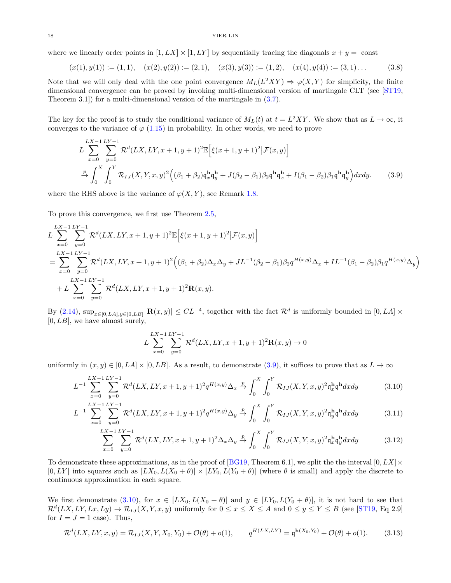where we linearly order points in  $[1, LX] \times [1, LY]$  by sequentially tracing the diagonals  $x + y = \text{const}$ 

<span id="page-17-5"></span>
$$
(x(1), y(1)) := (1, 1), \quad (x(2), y(2)) := (2, 1), \quad (x(3), y(3)) := (1, 2), \quad (x(4), y(4)) := (3, 1) \dots \tag{3.8}
$$

Note that we will only deal with the one point convergence  $M_L(L^2XY) \Rightarrow \varphi(X, Y)$  for simplicity, the finite dimensional convergence can be proved by invoking multi-dimensional version of martingale CLT (see [\[ST19,](#page-23-3) Theorem 3.1]) for a multi-dimensional version of the martingale in [\(3.7\)](#page-16-3).

The key for the proof is to study the conditional variance of  $M_L(t)$  at  $t = L^2XY$ . We show that as  $L \to \infty$ , it converges to the variance of  $\varphi$  [\(1.15\)](#page-6-3) in probability. In other words, we need to prove

$$
L\sum_{x=0}^{LX-1} \sum_{y=0}^{LY-1} \mathcal{R}^{d}(LX, LY, x+1, y+1)^{2} \mathbb{E}\Big[\xi(x+1, y+1)^{2}|\mathcal{F}(x, y)\Big] \n\stackrel{p}{\to} \int_{0}^{X} \int_{0}^{Y} \mathcal{R}_{IJ}(X, Y, x, y)^{2} \Big((\beta_{1} + \beta_{2})\mathfrak{q}_{x}^{\mathbf{h}}\mathfrak{q}_{y}^{\mathbf{h}} + J(\beta_{2} - \beta_{1})\beta_{2}\mathfrak{q}^{\mathbf{h}}\mathfrak{q}_{x}^{\mathbf{h}} + I(\beta_{1} - \beta_{2})\beta_{1}\mathfrak{q}^{\mathbf{h}}\mathfrak{q}_{y}^{\mathbf{h}}\Big) dx dy.
$$
\n(3.9)

where the RHS above is the variance of  $\varphi(X, Y)$ , see Remark [1.8.](#page-7-2)

To prove this convergence, we first use Theorem [2.5,](#page-11-0)

$$
L\sum_{x=0}^{LX-1} \sum_{y=0}^{LY-1} \mathcal{R}^d(LX, LY, x+1, y+1)^2 \mathbb{E}\Big[\xi(x+1, y+1)^2 | \mathcal{F}(x, y)\Big]
$$
  
= 
$$
\sum_{x=0}^{LX-1} \sum_{y=0}^{LY-1} \mathcal{R}^d(LX, LY, x+1, y+1)^2 \Big((\beta_1 + \beta_2)\Delta_x\Delta_y + JL^{-1}(\beta_2 - \beta_1)\beta_2 q^{H(x,y)}\Delta_x + IL^{-1}(\beta_1 - \beta_2)\beta_1 q^{H(x,y)}\Delta_y\Big) + L\sum_{x=0}^{LX-1} \sum_{y=0}^{LY-1} \mathcal{R}^d(LX, LY, x+1, y+1)^2 \mathbf{R}(x, y).
$$

By  $(2.14)$ ,  $\sup_{x \in [0,LA], y \in [0,LB]} |\mathbf{R}(x,y)| \leq CL^{-4}$ , together with the fact  $\mathcal{R}^d$  is uniformly bounded in  $[0,LA] \times$ [0*, LB*], we have almost surely,

<span id="page-17-3"></span><span id="page-17-2"></span><span id="page-17-1"></span><span id="page-17-0"></span>
$$
L\sum_{x=0}^{LX-1}\sum_{y=0}^{LY-1}\mathcal{R}^d(LX,LY,x+1,y+1)^2\mathbf{R}(x,y)\to 0
$$

uniformly in  $(x, y) \in [0, LA] \times [0, LB]$ . As a result, to demonstrate [\(3.9\)](#page-17-0), it suffices to prove that as  $L \to \infty$ 

$$
L^{-1} \sum_{x=0}^{LX-1} \sum_{y=0}^{LY-1} \mathcal{R}^d(LX,LY,x+1,y+1)^2 q^{H(x,y)} \Delta_x \stackrel{p}{\to} \int_0^X \int_0^Y \mathcal{R}_{IJ}(X,Y,x,y)^2 \mathfrak{q}_x^{\mathbf{h}} \mathfrak{q}^{\mathbf{h}} dx dy \tag{3.10}
$$

$$
L^{-1} \sum_{x=0}^{LX-1} \sum_{y=0}^{LY-1} \mathcal{R}^d(LX,LY,x+1,y+1)^2 q^{H(x,y)} \Delta_y \stackrel{p}{\to} \int_0^X \int_0^Y \mathcal{R}_{IJ}(X,Y,x,y)^2 \mathfrak{q}_y^{\mathbf{h}} \mathfrak{q}^{\mathbf{h}} dx dy \tag{3.11}
$$

$$
\sum_{x=0}^{LX-1} \sum_{y=0}^{LY-1} \mathcal{R}^d(LX,LY,x+1,y+1)^2 \Delta_x \Delta_y \stackrel{p}{\to} \int_0^X \int_0^Y \mathcal{R}_{IJ}(X,Y,x,y)^2 \mathfrak{q}_x^{\mathbf{h}} \mathfrak{q}_y^{\mathbf{h}} dx dy \tag{3.12}
$$

To demonstrate these approximations, as in the proof of [\[BG19,](#page-23-0) Theorem 6.1], we split the the interval  $[0, LX] \times$  $[0, LY]$  into squares such as  $[LX_0, L(X_0 + \theta)] \times [LY_0, L(Y_0 + \theta)]$  (where  $\theta$  is small) and apply the discrete to continuous approximation in each square.

We first demonstrate [\(3.10\)](#page-17-1), for  $x \in [LX_0, L(X_0 + \theta)]$  and  $y \in [LY_0, L(Y_0 + \theta)]$ , it is not hard to see that  $\mathcal{R}^d(LX,LY,Lx,Ly) \to \mathcal{R}_{IJ}(X,Y,x,y)$  uniformly for  $0 \le x \le X \le A$  and  $0 \le y \le Y \le B$  (see [\[ST19,](#page-23-3) Eq 2.9] for  $I = J = 1$  case). Thus,

<span id="page-17-4"></span>
$$
\mathcal{R}^d(LX, LY, x, y) = \mathcal{R}_{IJ}(X, Y, X_0, Y_0) + \mathcal{O}(\theta) + o(1), \qquad q^{H(LX, LY)} = \mathfrak{q}^{\mathbf{h}(X_0, Y_0)} + \mathcal{O}(\theta) + o(1).
$$
 (3.13)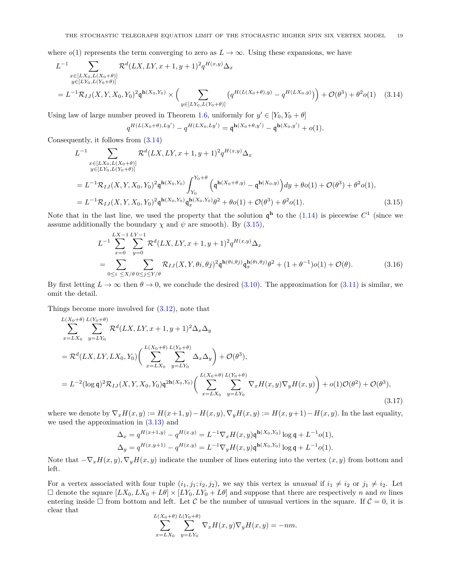where  $o(1)$  represents the term converging to zero as  $L \to \infty$ . Using these expansions, we have

$$
L^{-1} \sum_{\substack{x \in [L X_0, L(X_0 + \theta)] \\ y \in [L Y_0, L(Y_0 + \theta)]}} \mathcal{R}^d(LX, LY, x + 1, y + 1)^2 q^{H(x, y)} \Delta_x
$$
  
=  $L^{-1} \mathcal{R}_{IJ}(X, Y, X_0, Y_0)^2 \mathfrak{q}^{h(X_0, Y_0)} \times \left( \sum_{\substack{y \in [L Y_0, L(Y_0 + \theta)]}} \left( q^{H(L(X_0 + \theta), y)} - q^{H(LX_0, y)} \right) \right) + \mathcal{O}(\theta^3) + \theta^2 o(1)$  (3.14)

Using law of large number proved in Theorem [1.6,](#page-6-1) uniformly for  $y' \in [Y_0, Y_0 + \theta]$ 

<span id="page-18-3"></span><span id="page-18-1"></span><span id="page-18-0"></span>
$$
q^{H(L(X_0+\theta),Ly')}-q^{H(LX_0,Ly')}=q^{\mathbf{h}(X_0+\theta,y')}-q^{\mathbf{h}(X_0,y')}+o(1).
$$

Consequently, it follows from [\(3.14\)](#page-18-0)

$$
L^{-1} \sum_{\substack{x \in [LX_0, L(X_0 + \theta)] \\ y \in [LY_0, L(Y_0 + \theta)]}} \mathcal{R}^d(LX, LY, x + 1, y + 1)^2 q^{H(x, y)} \Delta_x
$$
  
\n
$$
= L^{-1} \mathcal{R}_{IJ}(X, Y, X_0, Y_0)^2 \mathfrak{q}^{h(X_0, Y_0)} \int_{Y_0}^{Y_0 + \theta} \left( \mathfrak{q}^{h(X_0 + \theta, y)} - \mathfrak{q}^{h(X_0, y)} \right) dy + \theta o(1) + \mathcal{O}(\theta^3) + \theta^2 o(1),
$$
  
\n
$$
= L^{-1} \mathcal{R}_{IJ}(X, Y, X_0, Y_0)^2 \mathfrak{q}^{h(X_0, Y_0)} \mathfrak{q}_x^{h(X_0, Y_0)} \theta^2 + \theta o(1) + \mathcal{O}(\theta^3) + \theta^2 o(1). \tag{3.15}
$$

Note that in the last line, we used the property that the solution  $\mathfrak{q}^{\mathbf{h}}$  to the [\(1.14\)](#page-6-4) is piecewise  $C^1$  (since we assume additionally the boundary  $\chi$  and  $\psi$  are smooth). By [\(3.15\)](#page-18-1),

$$
L^{-1} \sum_{x=0}^{LX-1} \sum_{y=0}^{LY-1} \mathcal{R}^{d}(LX, LY, x+1, y+1)^{2} q^{H(x,y)} \Delta_x
$$
  
= 
$$
\sum_{0 \le i \le X/\theta} \sum_{0 \le j \le Y/\theta} \mathcal{R}_{IJ}(X, Y, \theta i, \theta j)^{2} \mathfrak{q}^{h(\theta i, \theta j)} \mathfrak{q}^{h(\theta i, \theta j)}_{x} \theta^{2} + (1 + \theta^{-1}) o(1) + \mathcal{O}(\theta).
$$
 (3.16)

By first letting  $L \to \infty$  then  $\theta \to 0$ , we conclude the desired [\(3.10\)](#page-17-1). The approximation for [\(3.11\)](#page-17-2) is similar, we omit the detail.

Things become more involved for [\(3.12\)](#page-17-3), note that

$$
\sum_{x=LX_0}^{L(X_0+\theta)} \sum_{y=LY_0}^{L(Y_0+\theta)} \mathcal{R}^d(LX,LY,x+1,y+1)^2 \Delta_x \Delta_y
$$
\n
$$
= \mathcal{R}^d(LX,LY, LX_0,Y_0) \Bigg( \sum_{x=LX_0}^{L(X_0+\theta)} \sum_{y=LY_0}^{L(Y_0+\theta)} \Delta_x \Delta_y \Bigg) + \mathcal{O}(\theta^3),
$$
\n
$$
= L^{-2} (\log \mathfrak{q})^2 \mathcal{R}_{IJ}(X,Y,X_0,Y_0) \mathfrak{q}^{2h(X_0,Y_0)} \Bigg( \sum_{x=LX_0}^{L(X_0+\theta)} \sum_{y=LY_0}^{L(Y_0+\theta)} \nabla_x H(x,y) \nabla_y H(x,y) \Bigg) + o(1) \mathcal{O}(\theta^2) + \mathcal{O}(\theta^3), \tag{3.17}
$$

where we denote by  $\nabla_x H(x, y) := H(x+1, y) - H(x, y)$ ,  $\nabla_y H(x, y) := H(x, y+1) - H(x, y)$ . In the last equality, we used the approximation in [\(3.13\)](#page-17-4) and

$$
\Delta_x = q^{H(x+1,y)} - q^{H(x,y)} = L^{-1} \nabla_x H(x,y) \mathfrak{q}^{\mathbf{h}(X_0,Y_0)} \log \mathfrak{q} + L^{-1} o(1),
$$
  
\n
$$
\Delta_y = q^{H(x,y+1)} - q^{H(x,y)} = L^{-1} \nabla_y H(x,y) \mathfrak{q}^{\mathbf{h}(X_0,Y_0)} \log \mathfrak{q} + L^{-1} o(1).
$$

Note that  $-\nabla_x H(x, y), \nabla_y H(x, y)$  indicate the number of lines entering into the vertex  $(x, y)$  from bottom and left.

For a vertex associated with four tuple  $(i_1, j_1; i_2, j_2)$ , we say this vertex is *unusual* if  $i_1 \neq i_2$  or  $j_1 \neq i_2$ . Let  $\Box$  denote the square  $[LX_0, LX_0+L\theta] \times [LY_0, LY_0+L\theta]$  and suppose that there are respectively *n* and *m* lines entering inside  $\Box$  from bottom and left. Let C be the number of unusual vertices in the square. If  $C = 0$ , it is clear that

<span id="page-18-2"></span>
$$
\sum_{x=LX_0}^{L(X_0+\theta)}\sum_{y=LY_0}^{L(Y_0+\theta)}\nabla_x H(x,y)\nabla_y H(x,y)=-nm.
$$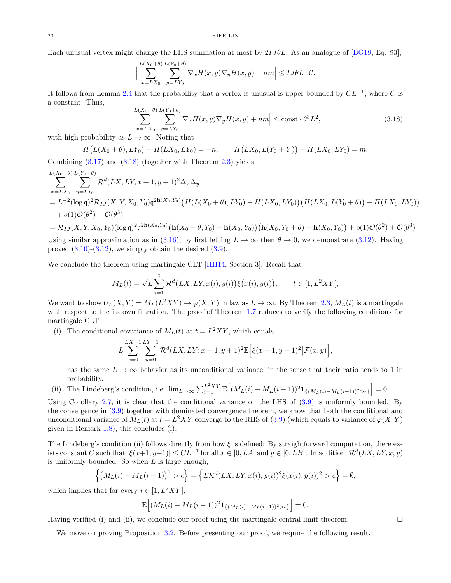Each unusual vertex might change the LHS summation at most by 2*IJθL*. As an analogue of [\[BG19,](#page-23-0) Eq. 93],

$$
\Big|\sum_{x=LX_0}^{L(X_0+\theta)}\sum_{y=LY_0}^{L(Y_0+\theta)}\nabla_x H(x,y)\nabla_y H(x,y)+nm\Big|\leq IJ\theta L\cdot\mathcal{C}.
$$

It follows from Lemma [2.4](#page-11-1) that the probability that a vertex is unusual is upper bounded by *CL*−<sup>1</sup> , where *C* is a constant. Thus,

<span id="page-19-0"></span>
$$
\left| \sum_{x=LX_0}^{L(X_0+\theta)} \sum_{y=LY_0}^{L(Y_0+\theta)} \nabla_x H(x,y) \nabla_y H(x,y) + nm \right| \le \text{const} \cdot \theta^3 L^2,
$$
\n(3.18)

with high probability as  $L \to \infty$ . Noting that

$$
H(L(X_0 + \theta), LY_0) - H(LX_0, LV_0) = -n, \qquad H(LX_0, L(Y_0 + Y)) - H(LX_0, LV_0) = m.
$$

Combining  $(3.17)$  and  $(3.18)$  (together with Theorem [2.3\)](#page-9-0) yields

$$
\sum_{x=LX_0}^{L(X_0+\theta)} \sum_{y=LY_0}^{L(Y_0+\theta)} \mathcal{R}^d(LX,LY,x+1,y+1)^2 \Delta_x \Delta_y
$$
\n
$$
= L^{-2} (\log \mathfrak{q})^2 \mathcal{R}_{IJ}(X,Y,X_0,Y_0) \mathfrak{q}^{2\mathbf{h}(X_0,Y_0)} \left( H(L(X_0+\theta),LY_0) - H(LX_0,LY_0) \right) \left( H(LX_0,L(Y_0+\theta)) - H(LX_0,LY_0) \right)
$$
\n
$$
+ o(1)\mathcal{O}(\theta^2) + \mathcal{O}(\theta^3)
$$

$$
= \mathcal{R}_{IJ}(X,Y,X_0,Y_0)(\log \mathfrak{q})^2 \mathfrak{q}^{2\mathbf{h}(X_0,Y_0)} \big(\mathbf{h}(X_0+\theta,Y_0) - \mathbf{h}(X_0,Y_0)\big) \big(\mathbf{h}(X_0,Y_0+\theta) - \mathbf{h}(X_0,Y_0)\big) + o(1)\mathcal{O}(\theta^2) + \mathcal{O}(\theta^3)
$$

Using similar approximation as in [\(3.16\)](#page-18-3), by first letting  $L \to \infty$  then  $\theta \to 0$ , we demonstrate [\(3.12\)](#page-17-3). Having proved  $(3.10)-(3.12)$  $(3.10)-(3.12)$  $(3.10)-(3.12)$ , we simply obtain the desired  $(3.9)$ .

We conclude the theorem using martingale CLT [\[HH14,](#page-23-24) Section 3]. Recall that

$$
M_L(t) = \sqrt{L} \sum_{i=1}^t \mathcal{R}^d(LX,LY,x(i),y(i))\xi(x(i),y(i)), \qquad t \in [1,L^2XY],
$$

We want to show  $U_L(X, Y) = M_L(L^2XY) \to \varphi(X, Y)$  in law as  $L \to \infty$ . By Theorem [2.3,](#page-9-0)  $M_L(t)$  is a martingale with respect to the its own filtration. The proof of Theorem [1.7](#page-6-2) reduces to verify the following conditions for martingale CLT:

(i). The conditional covariance of  $M_L(t)$  at  $t = L^2XY$ , which equals

$$
L\sum_{x=0}^{LX-1}\sum_{y=0}^{LY-1}\mathcal{R}^{d}(LX,LY;x+1,y+1)^{2}\mathbb{E}\Big[\xi(x+1,y+1)^{2}|\mathcal{F}(x,y)\Big],
$$

has the same  $L \to \infty$  behavior as its unconditional variance, in the sense that their ratio tends to 1 in probability.

(ii). The Lindeberg's condition, i.e.  $\lim_{L\to\infty}\sum_{i=1}^{L^2XY}\mathbb{E}\left[(M_L(i)-M_L(i-1))^2\mathbf{1}_{\{(M_L(i)-M_L(i-1))^2>\epsilon\}}\right]=0.$ 

Using Corollary [2.7,](#page-14-2) it is clear that the conditional variance on the LHS of [\(3.9\)](#page-17-0) is uniformly bounded. By the convergence in [\(3.9\)](#page-17-0) together with dominated convergence theorem, we know that both the conditional and unconditional variance of  $M_L(t)$  at  $t = L^2XY$  converge to the RHS of [\(3.9\)](#page-17-0) (which equals to variance of  $\varphi(X, Y)$ given in Remark [1.8\)](#page-7-2), this concludes (i).

The Lindeberg's condition (ii) follows directly from how *ξ* is defined: By straightforward computation, there exists constant *C* such that  $|\xi(x+1, y+1)| \le CL^{-1}$  for all  $x \in [0, LA]$  and  $y \in [0, LB]$ . In addition,  $\mathcal{R}^d(LX, LY, x, y)$ is uniformly bounded. So when *L* is large enough,

$$
\left\{ \left( M_L(i) - M_L(i-1) \right)^2 > \epsilon \right\} = \left\{ L\mathcal{R}^d(LX,LY,x(i),y(i))^2 \xi(x(i),y(i))^2 > \epsilon \right\} = \emptyset,
$$

which implies that for every  $i \in [1, L^2XY],$ 

$$
\mathbb{E}\Big[ (M_L(i) - M_L(i-1))^2 \mathbf{1}_{\{(M_L(i) - M_L(i-1))^2 > \epsilon\}} \Big] = 0.
$$

Having verified (i) and (ii), we conclude our proof using the martingale central limit theorem.  $\Box$ 

We move on proving Proposition [3.2.](#page-16-1) Before presenting our proof, we require the following result.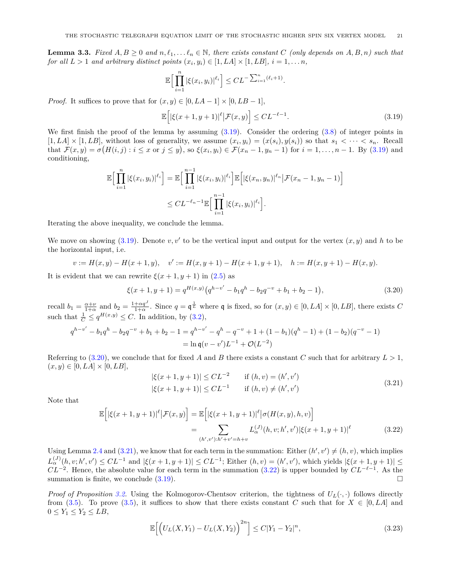<span id="page-20-0"></span>**Lemma 3.3.** *Fixed*  $A, B \ge 0$  *and*  $n, \ell_1, \ldots, \ell_n \in \mathbb{N}$ *, there exists constant*  $C$  *(only depends on*  $A, B, n$ *) such that for all*  $L > 1$  *and arbitrary distinct points*  $(x_i, y_i) \in [1, LA] \times [1, LB], i = 1, \ldots n$ ,

$$
\mathbb{E}\Big[\prod_{i=1}^n |\xi(x_i,y_i)|^{\ell_i}\Big] \leq CL^{-\sum_{i=1}^n (\ell_i+1)}.
$$

*Proof.* It suffices to prove that for  $(x, y) \in [0, LA-1] \times [0, LB-1]$ ,

<span id="page-20-1"></span>
$$
\mathbb{E}\Big[|\xi(x+1,y+1)|^{\ell}|\mathcal{F}(x,y)\Big] \leq CL^{-\ell-1}.\tag{3.19}
$$

We first finish the proof of the lemma by assuming  $(3.19)$ . Consider the ordering  $(3.8)$  of integer points in  $[1,LA] \times [1,LB]$ , without loss of generality, we assume  $(x_i, y_i) = (x(s_i), y(s_i))$  so that  $s_1 < \cdots < s_n$ . Recall that  $\mathcal{F}(x,y) = \sigma(H(i,j): i \leq x \text{ or } j \leq y)$ , so  $\xi(x_i,y_i) \in \mathcal{F}(x_n-1,y_n-1)$  for  $i = 1,\ldots,n-1$ . By [\(3.19\)](#page-20-1) and conditioning,

$$
\mathbb{E}\Big[\prod_{i=1}^{n} |\xi(x_i, y_i)|^{\ell_i}\Big] = \mathbb{E}\Big[\prod_{i=1}^{n-1} |\xi(x_i, y_i)|^{\ell_i}\Big] \mathbb{E}\Big[|\xi(x_n, y_n)|^{\ell_n} \Big| \mathcal{F}(x_n - 1, y_n - 1)\Big] \leq CL^{-\ell_n - 1} \mathbb{E}\Big[\prod_{i=1}^{n-1} |\xi(x_i, y_i)|^{\ell_i}\Big].
$$

Iterating the above inequality, we conclude the lemma.

We move on showing  $(3.19)$ . Denote  $v, v'$  to be the vertical input and output for the vertex  $(x, y)$  and h to be the horizontal input, i.e.

$$
v := H(x, y) - H(x + 1, y), \quad v' := H(x, y + 1) - H(x + 1, y + 1), \quad h := H(x, y + 1) - H(x, y).
$$

It is evident that we can rewrite  $\xi(x+1, y+1)$  in [\(2.5\)](#page-9-3) as

$$
\xi(x+1,y+1) = q^{H(x,y)}(q^{h-v'} - b_1 q^h - b_2 q^{-v} + b_1 + b_2 - 1),
$$
\n(3.20)

recall  $b_1 = \frac{\alpha + \nu}{1 + \alpha}$  and  $b_2 = \frac{1 + \alpha q^J}{1 + \alpha}$ . Since  $q = \mathfrak{q}^{\frac{1}{L}}$  where  $\mathfrak{q}$  is fixed, so for  $(x, y) \in [0, LA] \times [0, LB]$ , there exists *C* such that  $\frac{1}{C} \leq q^{H(x,y)} \leq C$ . In addition, by [\(3.2\)](#page-15-3),

$$
q^{h-v'} - b_1 q^h - b_2 q^{-v} + b_1 + b_2 - 1 = q^{h-v'} - q^h - q^{-v} + 1 + (1 - b_1)(q^h - 1) + (1 - b_2)(q^{-v} - 1)
$$
  
=  $\ln q(v - v')L^{-1} + \mathcal{O}(L^{-2})$ 

Referring to  $(3.20)$ , we conclude that for fixed *A* and *B* there exists a constant *C* such that for arbitrary  $L > 1$ ,  $(x, y) \in [0, LA] \times [0, LB],$ 

<span id="page-20-4"></span><span id="page-20-3"></span><span id="page-20-2"></span>
$$
|\xi(x+1, y+1)| \le CL^{-2} \qquad \text{if } (h, v) = (h', v')|\xi(x+1, y+1)| \le CL^{-1} \qquad \text{if } (h, v) \ne (h', v')\tag{3.21}
$$

Note that

$$
\mathbb{E}\Big[|\xi(x+1,y+1)|^{\ell}|\mathcal{F}(x,y)\Big] = \mathbb{E}\Big[|\xi(x+1,y+1)|^{\ell}|\sigma(H(x,y),h,v)\Big] \n= \sum_{(h',v'): h' + v' = h + v} L_{\alpha}^{(J)}(h,v;h',v')|\xi(x+1,y+1)|^{\ell}
$$
\n(3.22)

Using Lemma [2.4](#page-11-1) and  $(3.21)$ , we know that for each term in the summation: Either  $(h', v') \neq (h, v)$ , which implies  $L_{\alpha}^{(J)}(h, v; h', v') \leq CL^{-1}$  and  $|\xi(x+1, y+1)| \leq CL^{-1}$ ; Either  $(h, v) = (h', v')$ , which yields  $|\xi(x+1, y+1)| \leq CL^{-1}$  $CL^{-2}$ . Hence, the absolute value for each term in the summation [\(3.22\)](#page-20-4) is upper bounded by  $CL^{-\ell-1}$ . As the summation is finite, we conclude  $(3.19)$ .

*Proof of Proposition* [3.2.](#page-16-1) Using the Kolmogorov-Chentsov criterion, the tightness of  $U_L(\cdot, \cdot)$  follows directly from [\(3.5\)](#page-16-4). To prove (3.5), it suffices to show that there exists constant *C* such that for  $X \in [0, LA]$  and  $0 \le Y_1 \le Y_2 \le LB$ ,

<span id="page-20-5"></span>
$$
\mathbb{E}\Big[\Big(U_L(X,Y_1) - U_L(X,Y_2)\Big)^{2n}\Big] \le C|Y_1 - Y_2|^n,
$$
\n(3.23)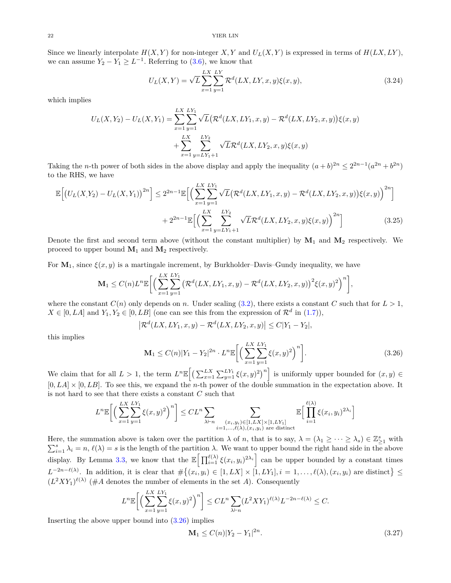Since we linearly interpolate  $H(X, Y)$  for non-integer  $X, Y$  and  $U_L(X, Y)$  is expressed in terms of  $H(LX, LY)$ , we can assume  $Y_2 - Y_1 \geq L^{-1}$ . Referring to [\(3.6\)](#page-16-5), we know that

<span id="page-21-3"></span>
$$
U_L(X,Y) = \sqrt{L} \sum_{x=1}^{LX} \sum_{y=1}^{LY} \mathcal{R}^d(LX,LY,x,y) \xi(x,y), \qquad (3.24)
$$

which implies

$$
U_L(X, Y_2) - U_L(X, Y_1) = \sum_{x=1}^{LX} \sum_{y=1}^{LY_1} \sqrt{L} \left( \mathcal{R}^d(LX, LY_1, x, y) - \mathcal{R}^d(LX, LY_2, x, y) \right) \xi(x, y)
$$
  
+ 
$$
\sum_{x=1}^{LX} \sum_{y=LY_1+1}^{LY_2} \sqrt{L} \mathcal{R}^d(LX, LY_2, x, y) \xi(x, y)
$$

Taking the *n*-th power of both sides in the above display and apply the inequality  $(a+b)^{2n} \leq 2^{2n-1}(a^{2n}+b^{2n})$ to the RHS, we have

$$
\mathbb{E}\Big[\big(U_L(X,Y_2) - U_L(X,Y_1)\big)^{2n}\Big] \leq 2^{2n-1} \mathbb{E}\Big[\Big(\sum_{x=1}^{LX} \sum_{y=1}^{LY_1} \sqrt{L} \big(\mathcal{R}^d(LX,LY_1,x,y) - \mathcal{R}^d(LX,LY_2,x,y)\big)\xi(x,y)\Big)^{2n}\Big] + 2^{2n-1} \mathbb{E}\Big[\Big(\sum_{x=1}^{LX} \sum_{y=LY_1+1}^{LY_2} \sqrt{L}\mathcal{R}^d(LX,LY_2,x,y)\xi(x,y)\Big)^{2n}\Big] \tag{3.25}
$$

Denote the first and second term above (without the constant multiplier) by  $M_1$  and  $M_2$  respectively. We proceed to upper bound  $M_1$  and  $M_2$  respectively.

For  $\mathbf{M}_1$ , since  $\xi(x, y)$  is a martingale increment, by Burkholder–Davis–Gundy inequality, we have

$$
\mathbf{M}_1 \leq C(n) L^n \mathbb{E}\bigg[\bigg(\sum_{x=1}^{LX} \sum_{y=1}^{LY_1} \big(\mathcal{R}^d(LX,LY_1,x,y) - \mathcal{R}^d(LX,LY_2,x,y)\big)^2 \xi(x,y)^2\bigg)^n\bigg],
$$

where the constant  $C(n)$  only depends on *n*. Under scaling [\(3.2\)](#page-15-3), there exists a constant *C* such that for  $L > 1$ ,  $X \in [0, LA]$  and  $Y_1, Y_2 \in [0, LB]$  (one can see this from the expression of  $\mathcal{R}^d$  in [\(1.7\)](#page-1-2)),

<span id="page-21-1"></span>
$$
\left|\mathcal{R}^d(LX,LY_1,x,y)-\mathcal{R}^d(LX,LY_2,x,y)\right|\leq C|Y_1-Y_2|,
$$

this implies

<span id="page-21-0"></span>
$$
\mathbf{M}_1 \le C(n)|Y_1 - Y_2|^{2n} \cdot L^n \mathbb{E}\bigg[\bigg(\sum_{x=1}^{LX} \sum_{y=1}^{LY_1} \xi(x, y)^2\bigg)^n\bigg].\tag{3.26}
$$

We claim that for all  $L > 1$ , the term  $L^n \mathbb{E}\Big[\Big(\sum_{x=1}^{LX} \sum_{y=1}^{LY_1} \xi(x, y)^2\Big)^n\Big]$  is uniformly upper bounded for  $(x, y) \in$  $[0, LA] \times [0, LB]$ . To see this, we expand the *n*-th power of the double summation in the expectation above. It is not hard to see that there exists a constant *C* such that

$$
L^{n}\mathbb{E}\bigg[\bigg(\sum_{x=1}^{LX} \sum_{y=1}^{LY_1} \xi(x,y)^2\bigg)^n\bigg] \leq CL^n \sum_{\lambda \vdash n} \sum_{\substack{(x_i,y_i) \in [1,LX] \times [1,LY_1] \\ i=1,\dots,\ell(\lambda), (x_i,y_i) \text{ are distinct}}} \mathbb{E}\bigg[\prod_{i=1}^{\ell(\lambda)} \xi(x_i,y_i)^{2\lambda_i}\bigg]
$$

Here, the summation above is taken over the partition  $\lambda$  of *n*, that is to say,  $\lambda = (\lambda_1 \geq \cdots \geq \lambda_s) \in \mathbb{Z}_{\geq 1}^s$  with  $\sum_{i=1}^{s} \lambda_i = n, \ell(\lambda) = s$  is the length of the partition  $\lambda$ . We want to upper bound the right hand side in the above display. By Lemma [3.3,](#page-20-0) we know that the  $\mathbb{E}\left[\prod_{i=1}^{\ell(\lambda)} \xi(x_i, y_i)^{2\lambda_i}\right]$  can be upper bounded by a constant times  $L^{-2n-\ell(\lambda)}$ . In addition, it is clear that  $\#\{(x_i,y_i)\in[1,LX]\times[1,LY_1], i=1,\ldots,\ell(\lambda), (x_i,y_i) \text{ are distinct}\}\leq$  $(L^2XY_1)^{\ell(\lambda)}$  (#A denotes the number of elements in the set A). Consequently

$$
L^n \mathbb{E}\bigg[\Big(\sum_{x=1}^{LX} \sum_{y=1}^{LY_1} \xi(x,y)^2\Big)^n\bigg] \leq CL^n \sum_{\lambda \vdash n} (L^2XY_1)^{\ell(\lambda)} L^{-2n-\ell(\lambda)} \leq C.
$$

Inserting the above upper bound into  $(3.26)$  implies

<span id="page-21-2"></span>
$$
\mathbf{M}_1 \le C(n)|Y_2 - Y_1|^{2n}.\tag{3.27}
$$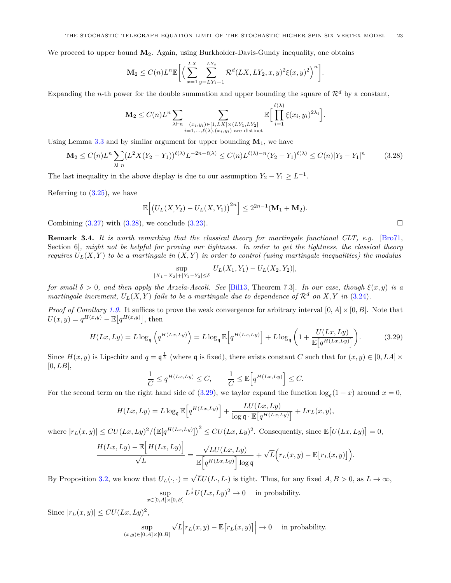We proceed to upper bound  $M_2$ . Again, using Burkholder-Davis-Gundy inequality, one obtains

$$
\mathbf{M}_2 \leq C(n) L^n \mathbb{E} \bigg[ \Big( \sum_{x=1}^{LX} \sum_{y=LY_1+1}^{LY_2} \mathcal{R}^d(LX,LY_2,x,y)^2 \xi(x,y)^2 \Big)^n \bigg].
$$

Expanding the *n*-th power for the double summation and upper bounding the square of  $\mathcal{R}^d$  by a constant,

$$
\mathbf{M}_2 \leq C(n) L^n \sum_{\lambda \vdash n} \sum_{\substack{(x_i, y_i) \in [1, LX] \times (LY_1, LY_2] \\ i=1,\ldots,\ell(\lambda), (x_i, y_i) \text{ are distinct}}} \mathbb{E} \Big[ \prod_{i=1}^{\ell(\lambda)} \xi(x_i, y_i)^{2\lambda_i} \Big].
$$

Using Lemma  $3.3$  and by similar argument for upper bounding  $M_1$ , we have

$$
\mathbf{M}_2 \le C(n)L^n \sum_{\lambda \vdash n} (L^2 X (Y_2 - Y_1))^{\ell(\lambda)} L^{-2n - \ell(\lambda)} \le C(n) L^{\ell(\lambda) - n} (Y_2 - Y_1)^{\ell(\lambda)} \le C(n) |Y_2 - Y_1|^n \tag{3.28}
$$

The last inequality in the above display is due to our assumption  $Y_2 - Y_1 \geq L^{-1}$ .

Referring to  $(3.25)$ , we have

<span id="page-22-1"></span>
$$
\mathbb{E}\Big[\big(U_L(X,Y_2) - U_L(X,Y_1)\big)^{2n}\Big] \leq 2^{2n-1}(\mathbf{M}_1 + \mathbf{M}_2).
$$

Combining  $(3.27)$  with  $(3.28)$ , we conclude  $(3.23)$ .

<span id="page-22-0"></span>**Remark 3.4.** *It is worth remarking that the classical theory for martingale functional CLT, e.g.* [\[Bro71,](#page-23-23) Section 6]*, might not be helpful for proving our tightness. In order to get the tightness, the classical theory requires*  $U_L(X, Y)$  *to be a martingale in*  $(X, Y)$  *in order to control (using martingale inequalities) the modulus* 

<span id="page-22-2"></span>
$$
\sup_{|X_1 - X_2| + |Y_1 - Y_2| \le \delta} |U_L(X_1, Y_1) - U_L(X_2, Y_2)|,
$$

*for small*  $\delta > 0$ *, and then apply the Arzela-Ascoli. See* [\[Bil13,](#page-23-25) Theorem 7.3]*. In our case, though*  $\xi(x, y)$  *is a martingale increment,*  $U_L(X, Y)$  *fails to be a martingale due to dependence of*  $\mathcal{R}^d$  *on*  $X, Y$  *in* [\(3.24\)](#page-21-3)*.* 

*Proof of Corollary [1.9.](#page-7-0)* It suffices to prove the weak convergence for arbitrary interval  $[0, A] \times [0, B]$ . Note that  $U(x, y) = q^{H(x, y)} - \mathbb{E}[q^{H(x, y)}],$  then

$$
H(Lx, Ly) = L \log_{\mathfrak{q}} \left( q^{H(Lx, Ly)} \right) = L \log_{\mathfrak{q}} \mathbb{E} \left[ q^{H(Lx, Ly)} \right] + L \log_{\mathfrak{q}} \left( 1 + \frac{U(Lx, Ly)}{\mathbb{E} \left[ q^{H(Lx, Ly)} \right]} \right). \tag{3.29}
$$

Since  $H(x, y)$  is Lipschitz and  $q = \mathfrak{q}^{\frac{1}{L}}$  (where  $\mathfrak{q}$  is fixed), there exists constant *C* such that for  $(x, y) \in [0, L\mathcal{A}] \times$  $[0, LB]$ ,

$$
\frac{1}{C} \le q^{H(Lx,Ly)} \le C, \qquad \frac{1}{C} \le \mathbb{E}\Big[q^{H(Lx,Ly)}\Big] \le C.
$$

For the second term on the right hand side of [\(3.29\)](#page-22-2), we taylor expand the function  $\log_{\mathfrak{q}}(1+x)$  around  $x=0$ ,

$$
H(Lx, Ly) = L \log_{\mathfrak{q}} \mathbb{E}\Big[q^{H(Lx, Ly)}\Big] + \frac{LU(Lx, Ly)}{\log \mathfrak{q} \cdot \mathbb{E}\big[q^{H(Lx, Ly)}\big]} + Lr_L(x, y),
$$

where  $|r_L(x, y)| \leq C U(Lx, Ly)^2 / (\mathbb{E}[q^{H(Lx, Ly)}])^2 \leq C U(Lx, Ly)^2$ . Consequently, since  $\mathbb{E}[U(Lx, Ly)] = 0$ ,

$$
\frac{H(Lx, Ly) - \mathbb{E}\Big[H(Lx, Ly)\Big]}{\sqrt{L}} = \frac{\sqrt{L}U(Lx, Ly)}{\mathbb{E}\Big[q^{H(Lx, Ly)}\Big] \log q} + \sqrt{L}\Big(r_L(x, y) - \mathbb{E}\big[r_L(x, y)\big]\Big).
$$

By Proposition [3.2,](#page-16-1) we know that  $U_L(\cdot, \cdot) = \sqrt{L}U(L \cdot, L \cdot)$  is tight. Thus, for any fixed  $A, B > 0$ , as  $L \to \infty$ ,

$$
\sup_{x \in [0,A] \times [0,B]} L^{\frac{1}{2}} U(Lx, Ly)^2 \to 0 \quad \text{ in probability.}
$$

Since  $|r<sub>L</sub>(x, y)| \leq CU(Lx, Ly)^2$ ,

$$
\sup_{(x,y)\in[0,A]\times[0,B]} \sqrt{L}\Big| r_L(x,y) - \mathbb{E}\big[r_L(x,y)\big]\Big| \to 0 \quad \text{ in probability.}
$$